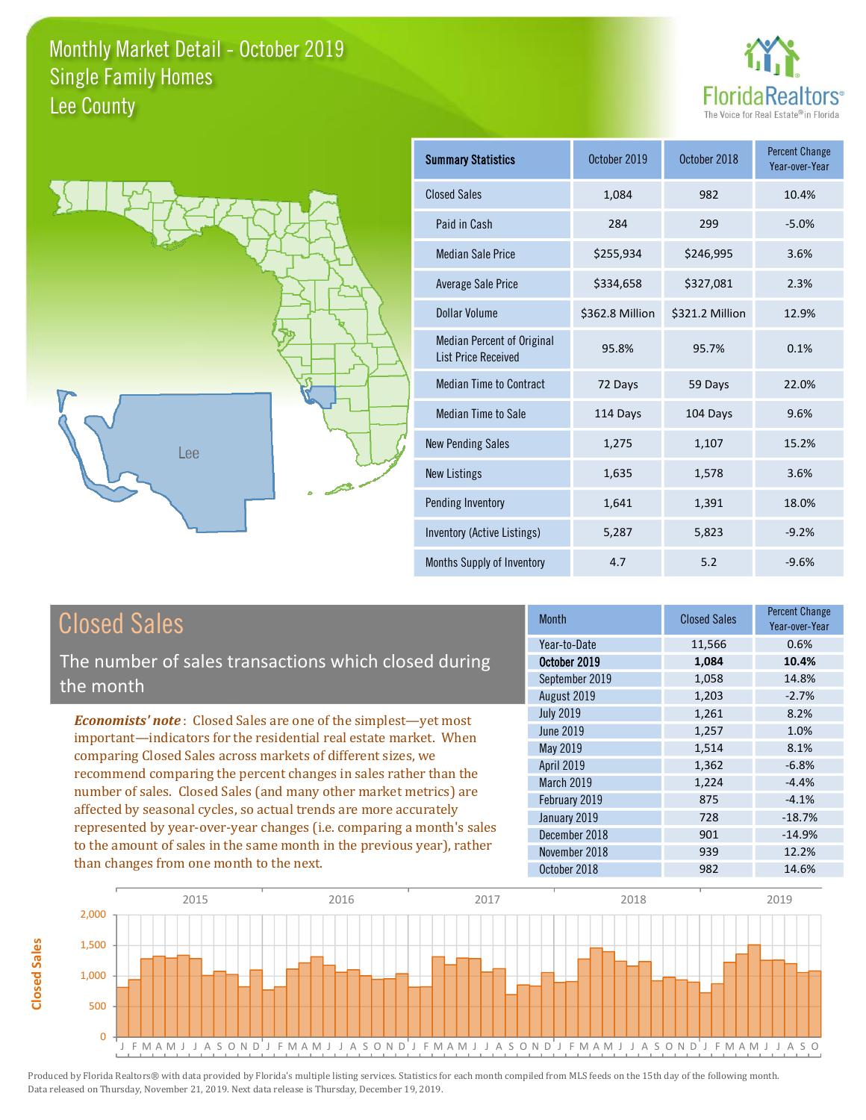



| <b>Summary Statistics</b>                                       | October 2019    | October 2018    | <b>Percent Change</b><br>Year-over-Year |
|-----------------------------------------------------------------|-----------------|-----------------|-----------------------------------------|
| <b>Closed Sales</b>                                             | 1,084           | 982             | 10.4%                                   |
| Paid in Cash                                                    | 284             | 299             | $-5.0%$                                 |
| <b>Median Sale Price</b>                                        | \$255,934       | \$246,995       | 3.6%                                    |
| <b>Average Sale Price</b>                                       | \$334,658       | \$327,081       | 2.3%                                    |
| Dollar Volume                                                   | \$362.8 Million | \$321.2 Million | 12.9%                                   |
| <b>Median Percent of Original</b><br><b>List Price Received</b> | 95.8%           | 95.7%           | 0.1%                                    |
| <b>Median Time to Contract</b>                                  | 72 Days         | 59 Days         | 22.0%                                   |
| <b>Median Time to Sale</b>                                      | 114 Days        | 104 Days        | 9.6%                                    |
| <b>New Pending Sales</b>                                        | 1,275           | 1,107           | 15.2%                                   |
| <b>New Listings</b>                                             | 1,635           | 1,578           | 3.6%                                    |
| Pending Inventory                                               | 1,641           | 1,391           | 18.0%                                   |
| Inventory (Active Listings)                                     | 5,287           | 5,823           | $-9.2%$                                 |
| Months Supply of Inventory                                      | 4.7             | 5.2             | $-9.6%$                                 |

## **Closed Sales**

**Closed Sales** 

The number of sales transactions which closed during the month

**Economists' note:** Closed Sales are one of the simplest-yet most important-indicators for the residential real estate market. When comparing Closed Sales across markets of different sizes, we recommend comparing the percent changes in sales rather than the number of sales. Closed Sales (and many other market metrics) are affected by seasonal cycles, so actual trends are more accurately represented by year-over-year changes (i.e. comparing a month's sales to the amount of sales in the same month in the previous year), rather than changes from one month to the next.

| Month            | <b>Closed Sales</b> | <b>Percent Change</b><br>Year-over-Year |
|------------------|---------------------|-----------------------------------------|
| Year-to-Date     | 11,566              | 0.6%                                    |
| October 2019     | 1,084               | 10.4%                                   |
| September 2019   | 1,058               | 14.8%                                   |
| August 2019      | 1,203               | $-2.7%$                                 |
| <b>July 2019</b> | 1,261               | 8.2%                                    |
| <b>June 2019</b> | 1,257               | 1.0%                                    |
| May 2019         | 1,514               | 8.1%                                    |
| April 2019       | 1,362               | $-6.8%$                                 |
| March 2019       | 1,224               | $-4.4%$                                 |
| February 2019    | 875                 | $-4.1%$                                 |
| January 2019     | 728                 | $-18.7%$                                |
| December 2018    | 901                 | $-14.9%$                                |
| November 2018    | 939                 | 12.2%                                   |
| October 2018     | 982                 | 14.6%                                   |

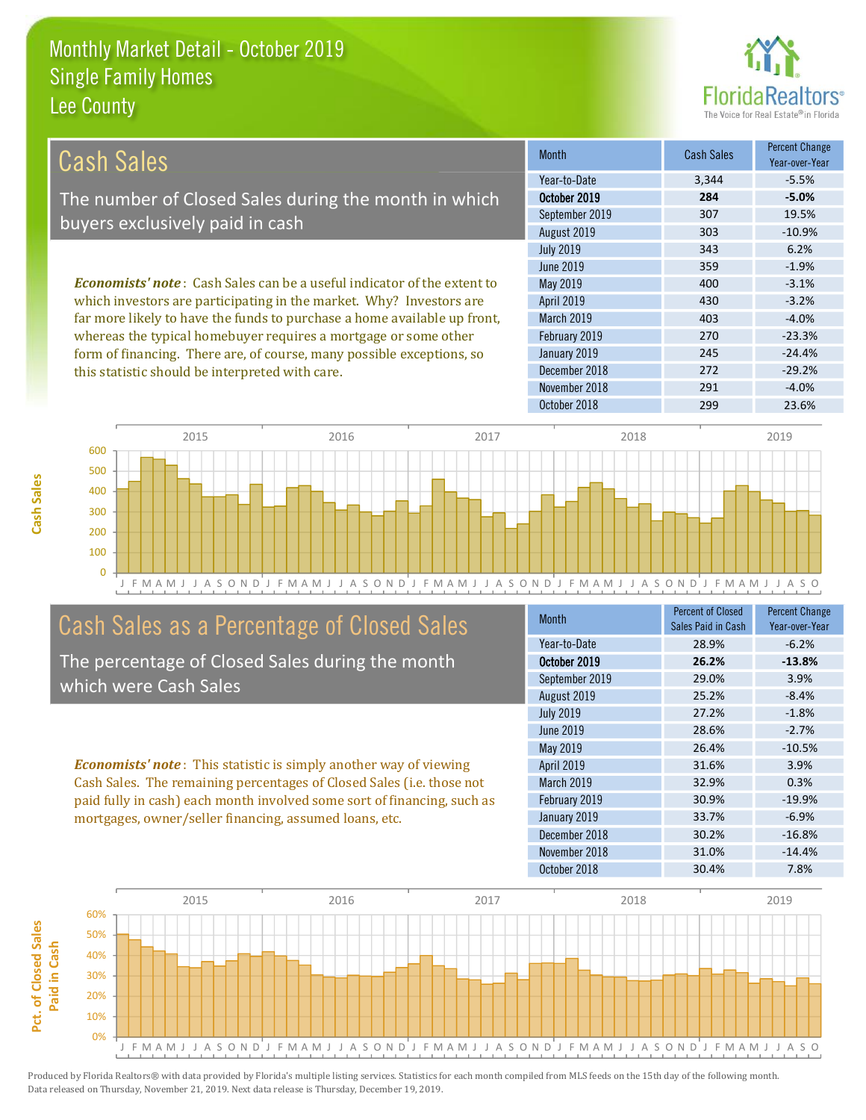this statistic should be interpreted with care.



 $-29.2%$ 

 $-4.0%$ 

| Cash Sales                                                                     | <b>Month</b>      | <b>Cash Sales</b> | <b>Percent Change</b><br>Year-over-Year |
|--------------------------------------------------------------------------------|-------------------|-------------------|-----------------------------------------|
|                                                                                | Year-to-Date      | 3.344             | $-5.5%$                                 |
| The number of Closed Sales during the month in which                           | October 2019      | 284               | $-5.0%$                                 |
| buyers exclusively paid in cash                                                | September 2019    | 307               | 19.5%                                   |
|                                                                                | August 2019       | 303               | $-10.9%$                                |
|                                                                                | <b>July 2019</b>  | 343               | 6.2%                                    |
|                                                                                | June 2019         | 359               | $-1.9%$                                 |
| <b>Economists' note:</b> Cash Sales can be a useful indicator of the extent to | May 2019          | 400               | $-3.1%$                                 |
| which investors are participating in the market. Why? Investors are            | <b>April 2019</b> | 430               | $-3.2%$                                 |
| far more likely to have the funds to purchase a home available up front,       | <b>March 2019</b> | 403               | $-4.0%$                                 |
| whereas the typical homebuyer requires a mortgage or some other                | February 2019     | 270               | $-23.3%$                                |
| form of financing. There are, of course, many possible exceptions, so          | January 2019      | 245               | $-24.4%$                                |

December 2018

November 2018



## Cash Sales as a Percentage of Closed Sales

The percentage of Closed Sales during the month which were Cash Sales

**Economists' note:** This statistic is simply another way of viewing Cash Sales. The remaining percentages of Closed Sales (i.e. those not paid fully in cash) each month involved some sort of financing, such as mortgages, owner/seller financing, assumed loans, etc.

| <b>Month</b>     | <b>Percent of Closed</b><br>Sales Paid in Cash | <b>Percent Change</b><br>Year-over-Year |
|------------------|------------------------------------------------|-----------------------------------------|
| Year-to-Date     | 28.9%                                          | $-6.2%$                                 |
| October 2019     | 26.2%                                          | $-13.8%$                                |
| September 2019   | 29.0%                                          | 3.9%                                    |
| August 2019      | 25.2%                                          | $-8.4%$                                 |
| <b>July 2019</b> | 27.2%                                          | $-1.8%$                                 |
| <b>June 2019</b> | 28.6%                                          | $-2.7%$                                 |
| May 2019         | 26.4%                                          | $-10.5%$                                |
| April 2019       | 31.6%                                          | 3.9%                                    |
| March 2019       | 32.9%                                          | 0.3%                                    |
| February 2019    | 30.9%                                          | $-19.9%$                                |
| January 2019     | 33.7%                                          | $-6.9%$                                 |
| December 2018    | 30.2%                                          | $-16.8%$                                |
| November 2018    | 31.0%                                          | $-14.4%$                                |
| October 2018     | 30.4%                                          | 7.8%                                    |

272

291



Produced by Florida Realtors® with data provided by Florida's multiple listing services. Statistics for each month compiled from MLS feeds on the 15th day of the following month. Data released on Thursday, November 21, 2019. Next data release is Thursday, December 19, 2019.

Pct. of Closed Sales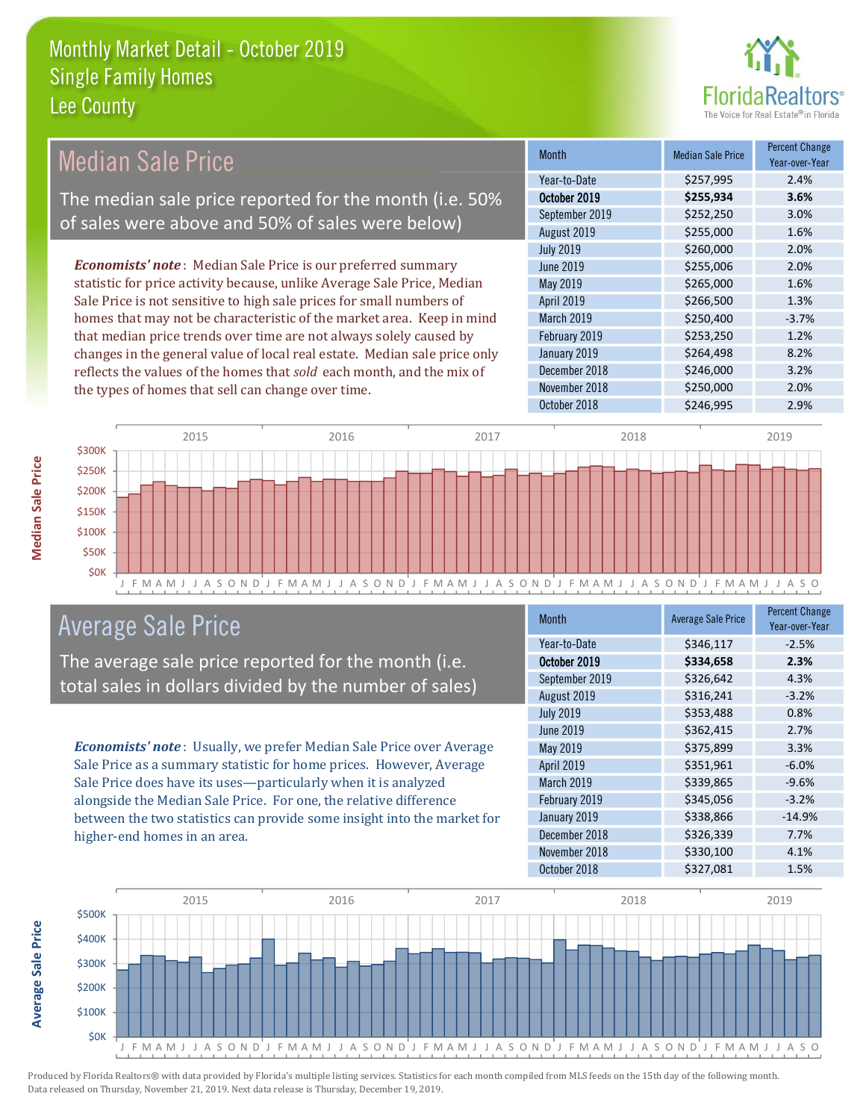

**Percent Change** 

#### **Median Sale Price Median Sale Price Month** Year-over-Year Year-to-Date \$257,995 2.4% The median sale price reported for the month (i.e. 50% October 2019 \$255,934 3.6% September 2019  $3.0%$ \$252,250 of sales were above and 50% of sales were below) August 2019 \$255,000 1.6% 2.0% **July 2019** \$260,000 **Economists' note**: Median Sale Price is our preferred summary **June 2019** \$255,006 2.0% statistic for price activity because, unlike Average Sale Price, Median May 2019 \$265,000 1.6% Sale Price is not sensitive to high sale prices for small numbers of April 2019 \$266,500 1.3% homes that may not be characteristic of the market area. Keep in mind March 2019 \$250,400  $-3.7%$ that median price trends over time are not always solely caused by February 2019 \$253,250 1.2% changes in the general value of local real estate. Median sale price only January 2019 \$264,498 8.2% reflects the values of the homes that sold each month, and the mix of December 2018 \$246,000 3.2% November 2018 \$250,000 2.0% the types of homes that sell can change over time. October 2018 \$246,995 2.9%



## **Average Sale Price**

The average sale price reported for the month (i.e. total sales in dollars divided by the number of sales)

Economists' note: Usually, we prefer Median Sale Price over Average Sale Price as a summary statistic for home prices. However, Average Sale Price does have its uses-particularly when it is analyzed alongside the Median Sale Price. For one, the relative difference between the two statistics can provide some insight into the market for higher-end homes in an area.

| <b>Month</b>     | <b>Average Sale Price</b> | <b>Percent Change</b><br>Year-over-Year |
|------------------|---------------------------|-----------------------------------------|
| Year-to-Date     | \$346,117                 | $-2.5%$                                 |
| October 2019     | \$334,658                 | 2.3%                                    |
| September 2019   | \$326,642                 | 4.3%                                    |
| August 2019      | \$316,241                 | $-3.2%$                                 |
| <b>July 2019</b> | \$353,488                 | 0.8%                                    |
| <b>June 2019</b> | \$362,415                 | 2.7%                                    |
| May 2019         | \$375,899                 | 3.3%                                    |
| April 2019       | \$351,961                 | $-6.0%$                                 |
| March 2019       | \$339,865                 | $-9.6%$                                 |
| February 2019    | \$345,056                 | $-3.2%$                                 |
| January 2019     | \$338,866                 | $-14.9%$                                |
| December 2018    | \$326,339                 | 7.7%                                    |
| November 2018    | \$330,100                 | 4.1%                                    |
| October 2018     | \$327,081                 | 1.5%                                    |



**Median Sale Price** 

**Average Sale Price**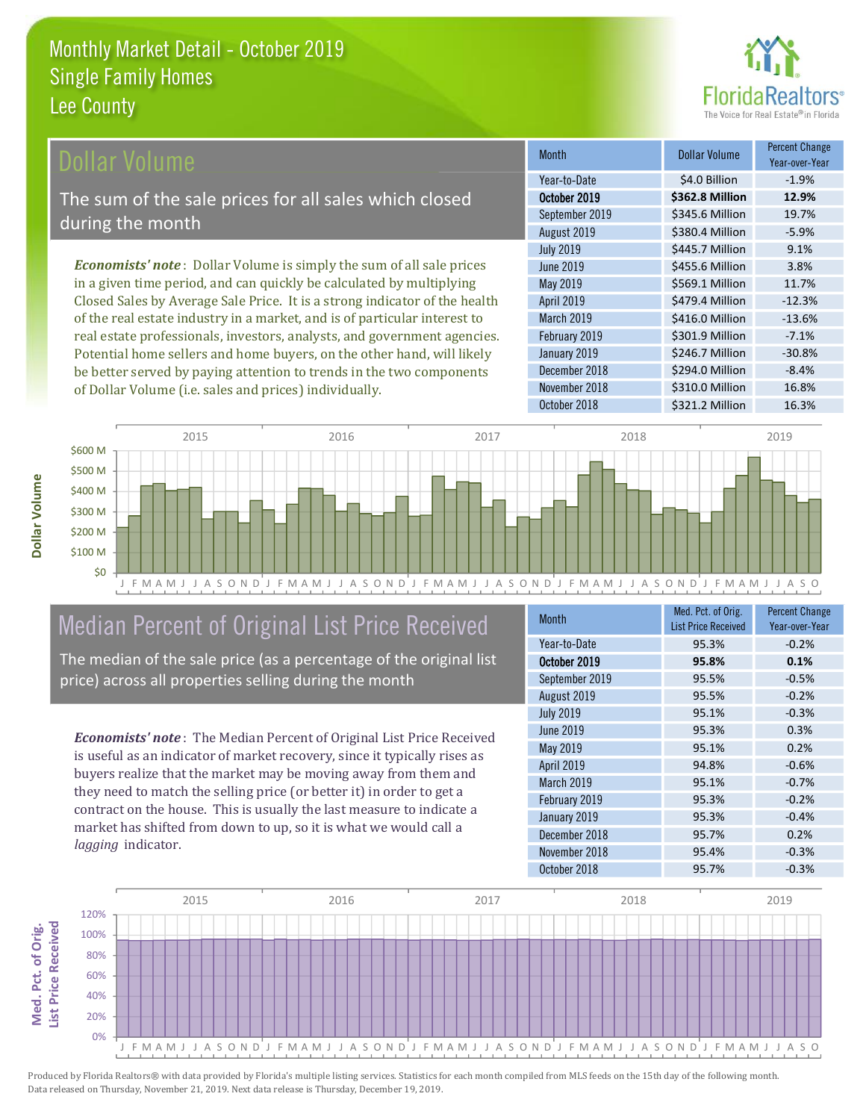

### ollar Volume

The sum of the sale prices for all sales which closed during the month

**Economists' note**: Dollar Volume is simply the sum of all sale prices in a given time period, and can quickly be calculated by multiplying Closed Sales by Average Sale Price. It is a strong indicator of the health of the real estate industry in a market, and is of particular interest to real estate professionals, investors, analysts, and government agencies. Potential home sellers and home buyers, on the other hand, will likely be better served by paying attention to trends in the two components of Dollar Volume (i.e. sales and prices) individually.

| <b>Month</b>     | <b>Dollar Volume</b> | <b>Percent Change</b><br>Year-over-Year |
|------------------|----------------------|-----------------------------------------|
| Year-to-Date     | \$4.0 Billion        | $-1.9%$                                 |
| October 2019     | \$362.8 Million      | 12.9%                                   |
| September 2019   | \$345.6 Million      | 19.7%                                   |
| August 2019      | \$380.4 Million      | $-5.9%$                                 |
| <b>July 2019</b> | \$445.7 Million      | 9.1%                                    |
| <b>June 2019</b> | \$455.6 Million      | 3.8%                                    |
| May 2019         | \$569.1 Million      | 11.7%                                   |
| April 2019       | \$479.4 Million      | $-12.3%$                                |
| March 2019       | \$416.0 Million      | $-13.6%$                                |
| February 2019    | \$301.9 Million      | $-7.1%$                                 |
| January 2019     | \$246.7 Million      | $-30.8%$                                |
| December 2018    | \$294.0 Million      | $-8.4%$                                 |
| November 2018    | \$310.0 Million      | 16.8%                                   |
| October 2018     | $6221.2$ Million     | 16.20/                                  |



# Median Percent of Original List Price Received

The median of the sale price (as a percentage of the original list price) across all properties selling during the month

**Economists' note:** The Median Percent of Original List Price Received is useful as an indicator of market recovery, since it typically rises as buyers realize that the market may be moving away from them and they need to match the selling price (or better it) in order to get a contract on the house. This is usually the last measure to indicate a market has shifted from down to up, so it is what we would call a lagging indicator.

| <b>Month</b>     | Med. Pct. of Orig.<br><b>List Price Received</b> | <b>Percent Change</b><br>Year-over-Year |
|------------------|--------------------------------------------------|-----------------------------------------|
| Year-to-Date     | 95.3%                                            | $-0.2%$                                 |
| October 2019     | 95.8%                                            | 0.1%                                    |
| September 2019   | 95.5%                                            | $-0.5%$                                 |
| August 2019      | 95.5%                                            | $-0.2%$                                 |
| <b>July 2019</b> | 95.1%                                            | $-0.3%$                                 |
| <b>June 2019</b> | 95.3%                                            | 0.3%                                    |
| <b>May 2019</b>  | 95.1%                                            | 0.2%                                    |
| April 2019       | 94.8%                                            | $-0.6%$                                 |
| March 2019       | 95.1%                                            | $-0.7%$                                 |
| February 2019    | 95.3%                                            | $-0.2%$                                 |
| January 2019     | 95.3%                                            | $-0.4%$                                 |
| December 2018    | 95.7%                                            | 0.2%                                    |
| November 2018    | 95.4%                                            | $-0.3%$                                 |
| October 2018     | 95.7%                                            | $-0.3%$                                 |



Produced by Florida Realtors® with data provided by Florida's multiple listing services. Statistics for each month compiled from MLS feeds on the 15th day of the following month. Data released on Thursday, November 21, 2019. Next data release is Thursday, December 19, 2019.

Med. Pct. of Orig.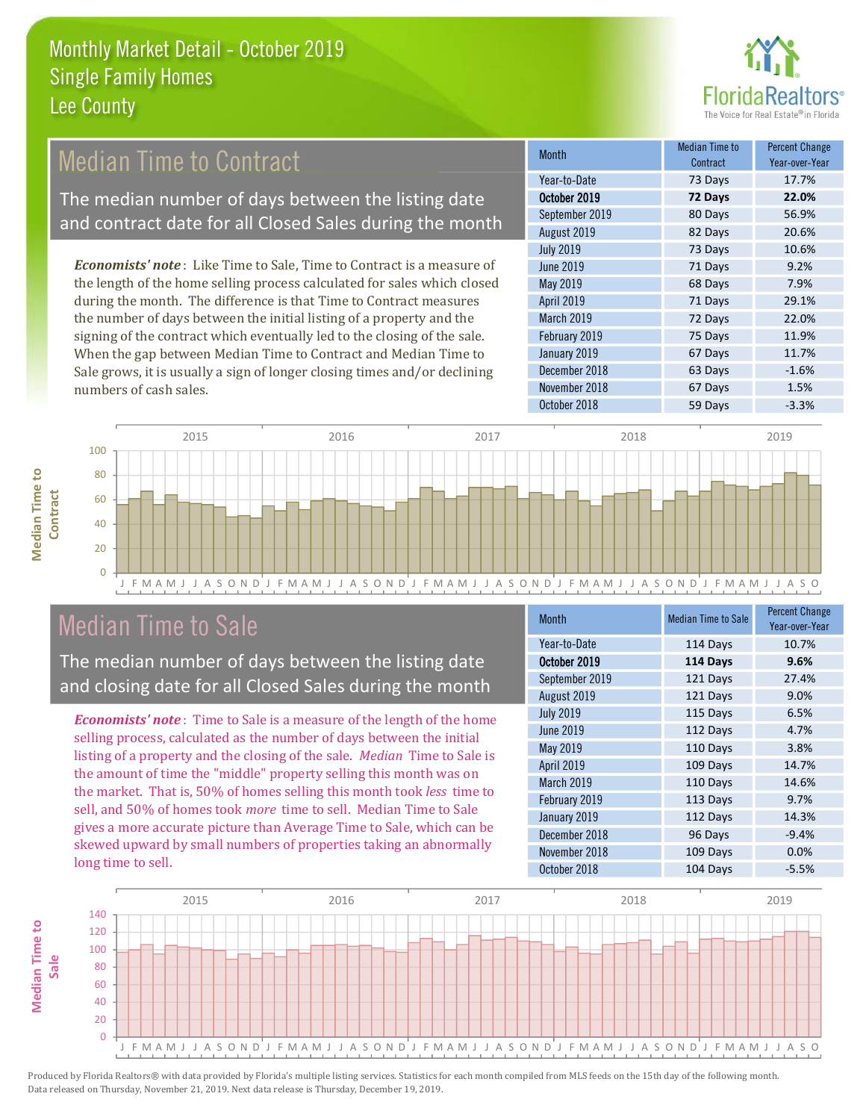

## **Median Time to Contract**

The median number of days between the listing date and contract date for all Closed Sales during the month

**Economists' note:** Like Time to Sale, Time to Contract is a measure of the length of the home selling process calculated for sales which closed during the month. The difference is that Time to Contract measures the number of days between the initial listing of a property and the signing of the contract which eventually led to the closing of the sale. When the gap between Median Time to Contract and Median Time to Sale grows, it is usually a sign of longer closing times and/or declining numbers of cash sales.

| Month            | Median Time to<br>Contract | <b>Percent Change</b><br>Year-over-Year |
|------------------|----------------------------|-----------------------------------------|
| Year-to-Date     | 73 Days                    | 17.7%                                   |
| October 2019     | 72 Days                    | 22.0%                                   |
| September 2019   | 80 Days                    | 56.9%                                   |
| August 2019      | 82 Days                    | 20.6%                                   |
| <b>July 2019</b> | 73 Days                    | 10.6%                                   |
| <b>June 2019</b> | 71 Days                    | 9.2%                                    |
| May 2019         | 68 Days                    | 7.9%                                    |
| April 2019       | 71 Days                    | 29.1%                                   |
| March 2019       | 72 Days                    | 22.0%                                   |
| February 2019    | 75 Days                    | 11.9%                                   |
| January 2019     | 67 Days                    | 11.7%                                   |
| December 2018    | 63 Days                    | $-1.6%$                                 |
| November 2018    | 67 Days                    | 1.5%                                    |
| October 2018     | 59 Days                    | $-3.3%$                                 |



## **Median Time to Sale**

**Median Time to** 

The median number of days between the listing date and closing date for all Closed Sales during the month

**Economists' note**: Time to Sale is a measure of the length of the home selling process, calculated as the number of days between the initial listing of a property and the closing of the sale. Median Time to Sale is the amount of time the "middle" property selling this month was on the market. That is, 50% of homes selling this month took less time to sell, and 50% of homes took more time to sell. Median Time to Sale gives a more accurate picture than Average Time to Sale, which can be skewed upward by small numbers of properties taking an abnormally long time to sell.

| <b>Month</b>     | <b>Median Time to Sale</b> | <b>Percent Change</b><br>Year-over-Year |
|------------------|----------------------------|-----------------------------------------|
| Year-to-Date     | 114 Days                   | 10.7%                                   |
| October 2019     | 114 Days                   | 9.6%                                    |
| September 2019   | 121 Days                   | 27.4%                                   |
| August 2019      | 121 Days                   | 9.0%                                    |
| <b>July 2019</b> | 115 Days                   | 6.5%                                    |
| <b>June 2019</b> | 112 Days                   | 4.7%                                    |
| May 2019         | 110 Days                   | 3.8%                                    |
| April 2019       | 109 Days                   | 14.7%                                   |
| March 2019       | 110 Days                   | 14.6%                                   |
| February 2019    | 113 Days                   | 9.7%                                    |
| January 2019     | 112 Days                   | 14.3%                                   |
| December 2018    | 96 Days                    | $-9.4%$                                 |
| November 2018    | 109 Days                   | 0.0%                                    |
| October 2018     | 104 Days                   | $-5.5%$                                 |

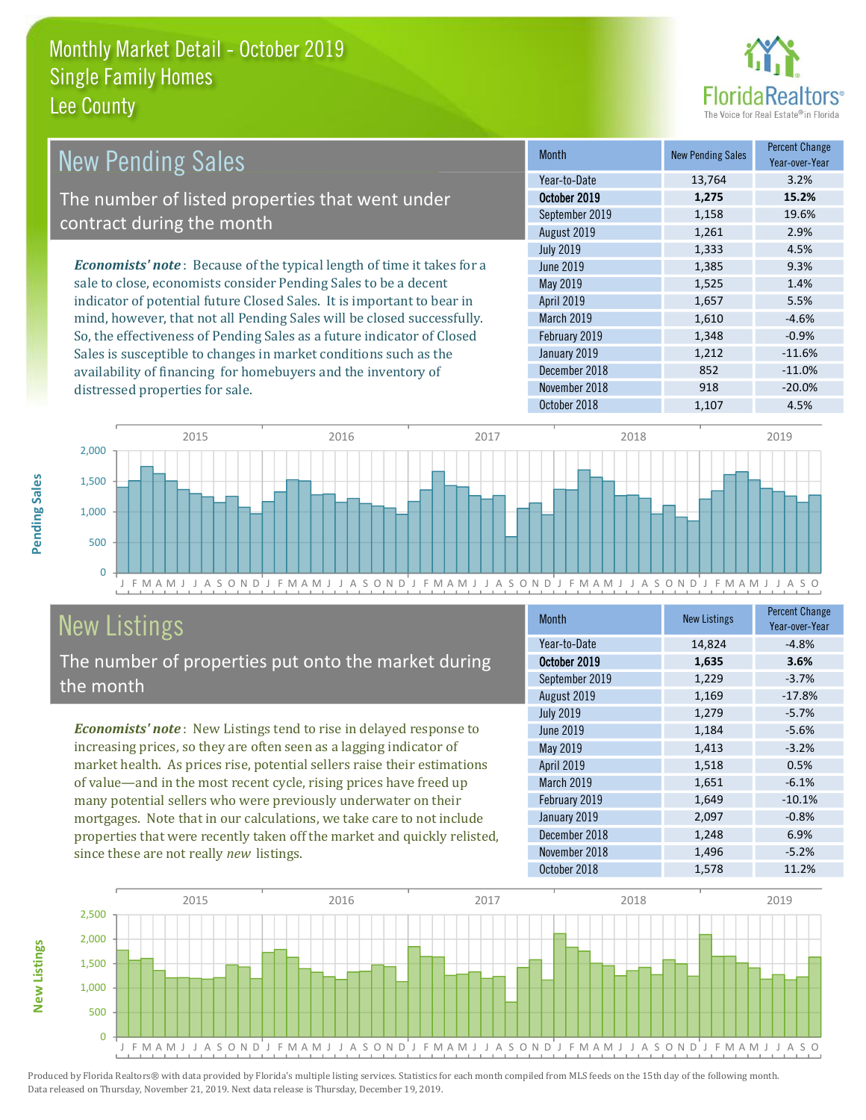

| <b>New Pending Sales</b>                                                      | <b>Month</b>      | <b>New Pending Sales</b> | <b>Percent Change</b><br>Year-over-Year |
|-------------------------------------------------------------------------------|-------------------|--------------------------|-----------------------------------------|
|                                                                               | Year-to-Date      | 13,764                   | 3.2%                                    |
| The number of listed properties that went under                               | October 2019      | 1,275                    | 15.2%                                   |
| contract during the month                                                     | September 2019    | 1,158                    | 19.6%                                   |
|                                                                               | August 2019       | 1,261                    | 2.9%                                    |
|                                                                               | <b>July 2019</b>  | 1,333                    | 4.5%                                    |
| <b>Economists' note:</b> Because of the typical length of time it takes for a | June 2019         | 1,385                    | 9.3%                                    |
| sale to close, economists consider Pending Sales to be a decent               | May 2019          | 1,525                    | 1.4%                                    |
| indicator of potential future Closed Sales. It is important to bear in        | <b>April 2019</b> | 1,657                    | 5.5%                                    |
| mind, however, that not all Pending Sales will be closed successfully.        | March 2019        | 1,610                    | $-4.6%$                                 |
| So, the effectiveness of Pending Sales as a future indicator of Closed        | February 2019     | 1,348                    | $-0.9%$                                 |
| Sales is susceptible to changes in market conditions such as the              | January 2019      | 1,212                    | $-11.6%$                                |
| availability of financing for homebuyers and the inventory of                 | December 2018     | 852                      | $-11.0%$                                |

November 2018



# **New Listings**

Pending Sales

**New Listings** 

distressed properties for sale.

The number of properties put onto the market during the month

Economists' note: New Listings tend to rise in delayed response to increasing prices, so they are often seen as a lagging indicator of market health. As prices rise, potential sellers raise their estimations of value—and in the most recent cycle, rising prices have freed up many potential sellers who were previously underwater on their mortgages. Note that in our calculations, we take care to not include properties that were recently taken off the market and quickly relisted, since these are not really new listings.

| <b>Month</b>      | <b>New Listings</b> | <b>Percent Change</b><br>Year-over-Year |
|-------------------|---------------------|-----------------------------------------|
| Year-to-Date      | 14,824              | $-4.8%$                                 |
| October 2019      | 1,635               | 3.6%                                    |
| September 2019    | 1,229               | $-3.7%$                                 |
| August 2019       | 1,169               | $-17.8%$                                |
| <b>July 2019</b>  | 1,279               | $-5.7%$                                 |
| <b>June 2019</b>  | 1,184               | $-5.6%$                                 |
| May 2019          | 1,413               | $-3.2%$                                 |
| April 2019        | 1,518               | 0.5%                                    |
| <b>March 2019</b> | 1,651               | $-6.1%$                                 |
| February 2019     | 1,649               | $-10.1%$                                |
| January 2019      | 2,097               | $-0.8%$                                 |
| December 2018     | 1,248               | 6.9%                                    |
| November 2018     | 1,496               | $-5.2%$                                 |
| October 2018      | 1,578               | 11.2%                                   |

918

 $-20.0%$ 

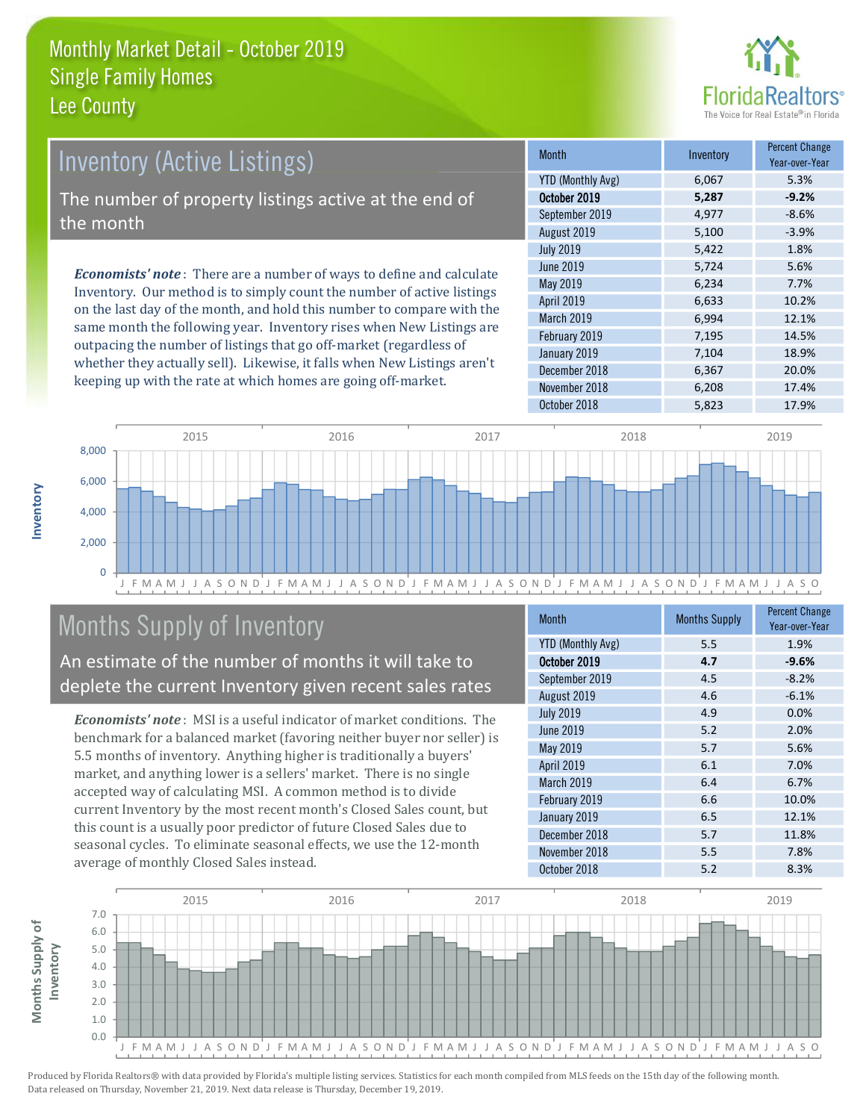

## **Inventory (Active Listings)** The number of property listings active at the end of the month **Economists' note**: There are a number of ways to define and calculate Inventory. Our method is to simply count the number of active listings

on the last day of the month, and hold this number to compare with the same month the following year. Inventory rises when New Listings are outpacing the number of listings that go off-market (regardless of whether they actually sell). Likewise, it falls when New Listings aren't keeping up with the rate at which homes are going off-market.

| <b>Month</b>             | Inventory | <b>Percent Change</b><br>Year-over-Year |
|--------------------------|-----------|-----------------------------------------|
| <b>YTD (Monthly Avg)</b> | 6,067     | 5.3%                                    |
| October 2019             | 5,287     | $-9.2%$                                 |
| September 2019           | 4,977     | $-8.6%$                                 |
| August 2019              | 5,100     | $-3.9%$                                 |
| <b>July 2019</b>         | 5,422     | 1.8%                                    |
| <b>June 2019</b>         | 5,724     | 5.6%                                    |
| May 2019                 | 6,234     | 7.7%                                    |
| April 2019               | 6,633     | 10.2%                                   |
| March 2019               | 6,994     | 12.1%                                   |
| February 2019            | 7,195     | 14.5%                                   |
| January 2019             | 7,104     | 18.9%                                   |
| December 2018            | 6,367     | 20.0%                                   |
| November 2018            | 6,208     | 17.4%                                   |
| October 2018             | 5,823     | 17.9%                                   |



## **Months Supply of Inventory**

An estimate of the number of months it will take to deplete the current Inventory given recent sales rates

**Economists' note:** MSI is a useful indicator of market conditions. The benchmark for a balanced market (favoring neither buyer nor seller) is 5.5 months of inventory. Anything higher is traditionally a buyers' market, and anything lower is a sellers' market. There is no single accepted way of calculating MSI. A common method is to divide current Inventory by the most recent month's Closed Sales count, but this count is a usually poor predictor of future Closed Sales due to seasonal cycles. To eliminate seasonal effects, we use the 12-month average of monthly Closed Sales instead.

| <b>Month</b>      | <b>Months Supply</b> | <b>Percent Change</b><br>Year-over-Year |
|-------------------|----------------------|-----------------------------------------|
| YTD (Monthly Avg) | 5.5                  | 1.9%                                    |
| October 2019      | 4.7                  | $-9.6%$                                 |
| September 2019    | 4.5                  | $-8.2%$                                 |
| August 2019       | 4.6                  | $-6.1%$                                 |
| <b>July 2019</b>  | 4.9                  | 0.0%                                    |
| June 2019         | 5.2                  | 2.0%                                    |
| May 2019          | 5.7                  | 5.6%                                    |
| <b>April 2019</b> | 6.1                  | 7.0%                                    |
| March 2019        | 6.4                  | 6.7%                                    |
| February 2019     | 6.6                  | 10.0%                                   |
| January 2019      | 6.5                  | 12.1%                                   |
| December 2018     | 5.7                  | 11.8%                                   |
| November 2018     | 5.5                  | 7.8%                                    |
| October 2018      | 5.2                  | 8.3%                                    |



nventory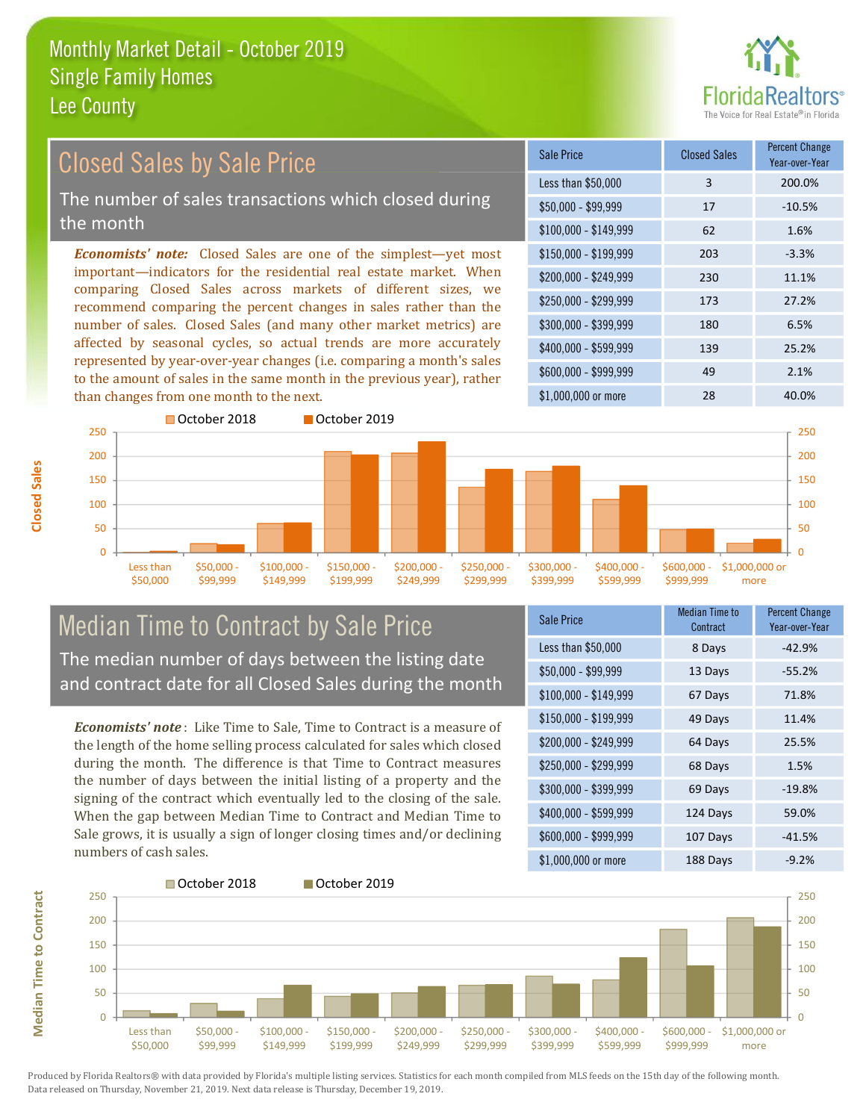

#### **Percent Change Closed Sales by Sale Price Closed Sales Sale Price** Year-over-Year Less than \$50,000  $\overline{3}$ 200.0% The number of sales transactions which closed during  $$50.000 - $99.999$ 17  $-10.5%$ the month 62 1.6%  $$100,000 - $149,999$ **Economists' note:** Closed Sales are one of the simplest—yet most \$150,000 - \$199.999 203  $-3.3%$ important-indicators for the residential real estate market. When \$200.000 - \$249.999 230 11.1% comparing Closed Sales across markets of different sizes, we \$250,000 - \$299.999 173 27.2% recommend comparing the percent changes in sales rather than the number of sales. Closed Sales (and many other market metrics) are \$300,000 - \$399,999 180 6.5% affected by seasonal cycles, so actual trends are more accurately \$400,000 - \$599,999 139 25.2% represented by year-over-year changes (i.e. comparing a month's sales \$600.000 - \$999.999 49 2.1% to the amount of sales in the same month in the previous year), rather than changes from one month to the next. \$1,000,000 or more 28 40.0%



#### **Median Time to Contract by Sale Price** The median number of days between the listing date and contract date for all Closed Sales during the month

**Economists' note**: Like Time to Sale. Time to Contract is a measure of the length of the home selling process calculated for sales which closed during the month. The difference is that Time to Contract measures the number of days between the initial listing of a property and the signing of the contract which eventually led to the closing of the sale. When the gap between Median Time to Contract and Median Time to Sale grows, it is usually a sign of longer closing times and/or declining numbers of cash sales.

| Sale Price            | <b>Median Time to</b><br>Contract | <b>Percent Change</b><br>Year-over-Year |
|-----------------------|-----------------------------------|-----------------------------------------|
| Less than \$50,000    | 8 Days                            | $-42.9%$                                |
| $$50,000 - $99,999$   | 13 Days                           | $-55.2%$                                |
| $$100,000 - $149,999$ | 67 Days                           | 71.8%                                   |
| $$150,000 - $199,999$ | 49 Days                           | 11.4%                                   |
| \$200,000 - \$249,999 | 64 Days                           | 25.5%                                   |
| \$250,000 - \$299,999 | 68 Days                           | 1.5%                                    |
| \$300,000 - \$399,999 | 69 Days                           | $-19.8%$                                |
| \$400,000 - \$599,999 | 124 Days                          | 59.0%                                   |
| \$600,000 - \$999,999 | 107 Days                          | $-41.5%$                                |
| ዩ1 በበበ በበበ or more    | 188 Davs                          | $-9.2\%$                                |

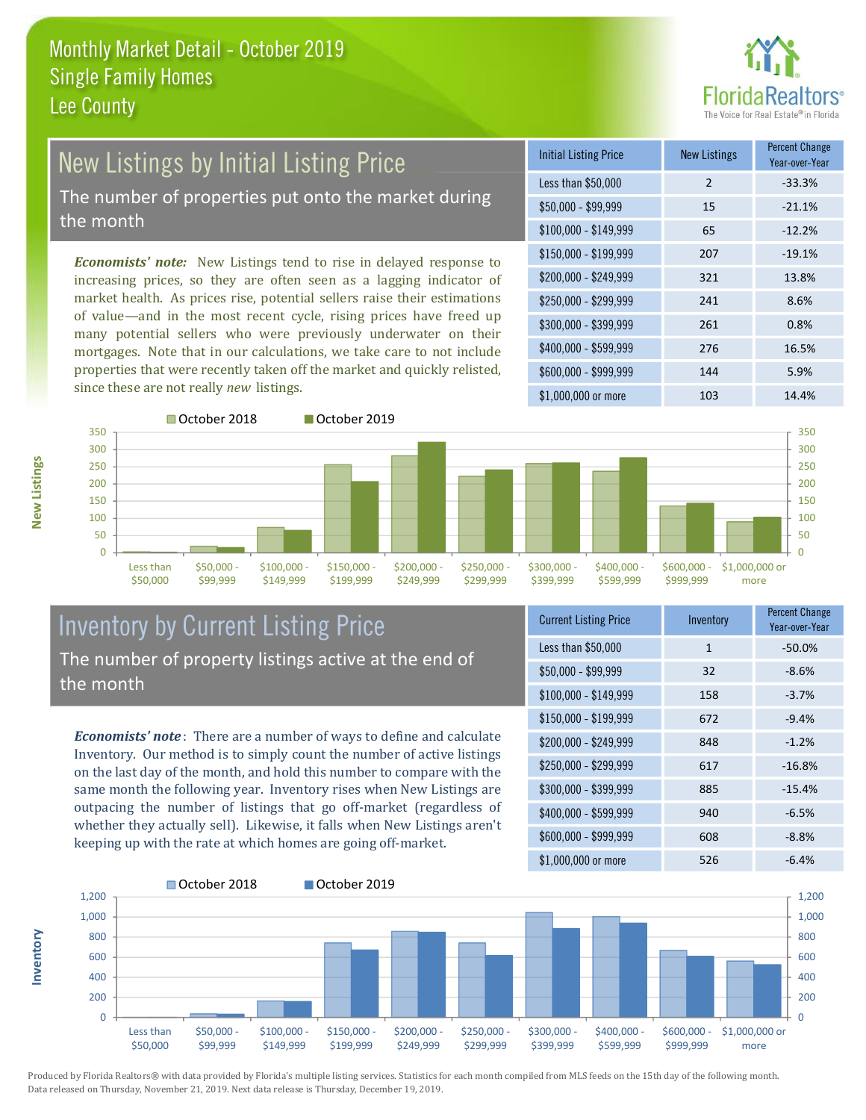

## **New Listings by Initial Listing Price** The number of properties put onto the market during

the month

Economists' note: New Listings tend to rise in delayed response to increasing prices, so they are often seen as a lagging indicator of market health. As prices rise, potential sellers raise their estimations of value—and in the most recent cycle, rising prices have freed up many potential sellers who were previously underwater on their mortgages. Note that in our calculations, we take care to not include properties that were recently taken off the market and quickly relisted, since these are not really new listings.

| <b>Initial Listing Price</b> | <b>New Listings</b> | <b>Percent Change</b><br>Year-over-Year |
|------------------------------|---------------------|-----------------------------------------|
| Less than \$50,000           | $\overline{2}$      | $-33.3%$                                |
| $$50,000 - $99,999$          | 15                  | $-21.1%$                                |
| $$100,000 - $149,999$        | 65                  | $-12.2%$                                |
| $$150,000 - $199,999$        | 207                 | $-19.1%$                                |
| \$200,000 - \$249,999        | 321                 | 13.8%                                   |
| \$250,000 - \$299,999        | 241                 | 8.6%                                    |
| \$300,000 - \$399,999        | 261                 | 0.8%                                    |
| \$400,000 - \$599,999        | 276                 | 16.5%                                   |
| \$600,000 - \$999,999        | 144                 | 5.9%                                    |
| $$1.000.000$ or more         | 103                 | 14.4%                                   |



October 2019



#### **Inventory by Current Listing Price** The number of property listings active at the end of the month

**Economists' note**: There are a number of ways to define and calculate Inventory. Our method is to simply count the number of active listings on the last day of the month, and hold this number to compare with the same month the following year. Inventory rises when New Listings are outpacing the number of listings that go off-market (regardless of whether they actually sell). Likewise, it falls when New Listings aren't keeping up with the rate at which homes are going off-market.

| <b>Current Listing Price</b> | Inventory    | <b>FULLE CHAIRS</b><br>Year-over-Year |
|------------------------------|--------------|---------------------------------------|
| Less than \$50,000           | $\mathbf{1}$ | $-50.0%$                              |
| $$50,000 - $99,999$          | 32           | $-8.6%$                               |
| $$100,000 - $149,999$        | 158          | $-3.7%$                               |
| $$150,000 - $199,999$        | 672          | $-9.4%$                               |
| \$200,000 - \$249,999        | 848          | $-1.2%$                               |
| \$250,000 - \$299,999        | 617          | $-16.8%$                              |
| \$300,000 - \$399,999        | 885          | $-15.4%$                              |
| \$400,000 - \$599,999        | 940          | $-6.5%$                               |
| \$600,000 - \$999,999        | 608          | $-8.8%$                               |
| $$1$ 000 000 or more         | 526          | 6.10/                                 |



Produced by Florida Realtors® with data provided by Florida's multiple listing services. Statistics for each month compiled from MLS feeds on the 15th day of the following month. Data released on Thursday, November 21, 2019. Next data release is Thursday, December 19, 2019.

nventory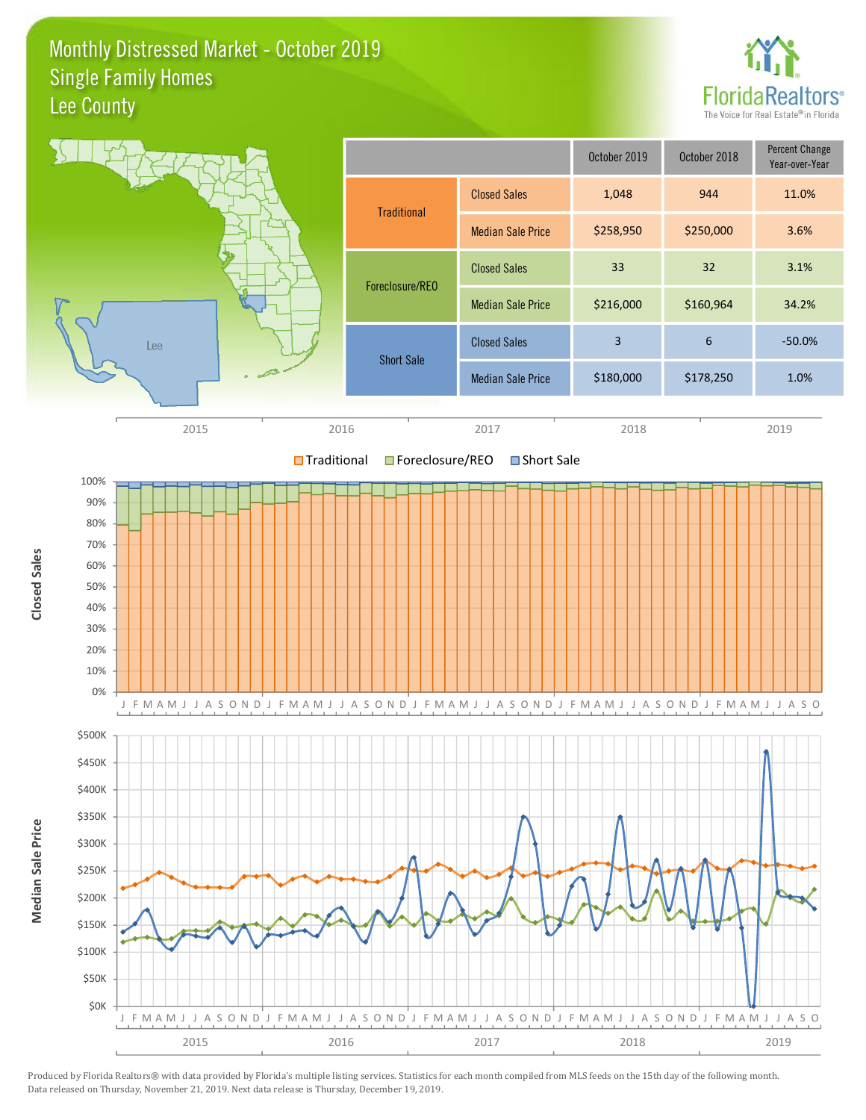#### Monthly Distressed Market - October 2019 **Single Family Homes** Lee County



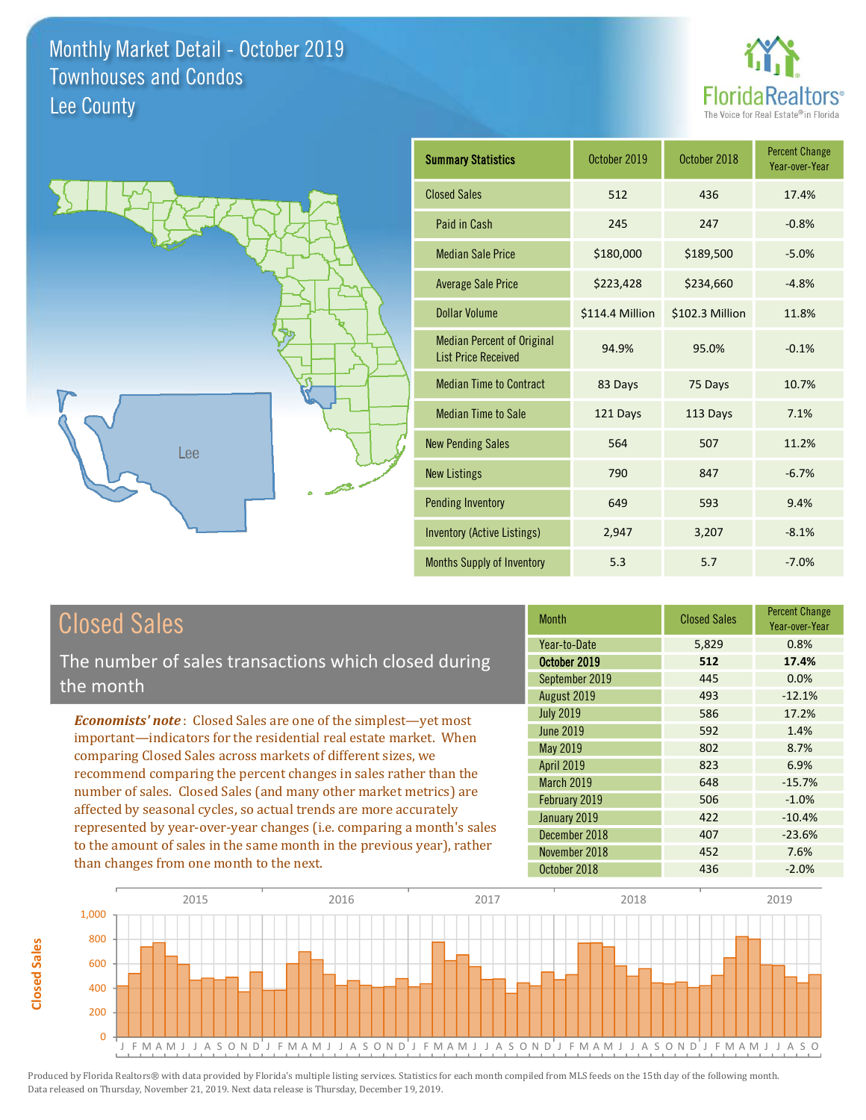



| <b>Summary Statistics</b>                                       | October 2019    | October 2018    | <b>Percent Change</b><br>Year-over-Year |
|-----------------------------------------------------------------|-----------------|-----------------|-----------------------------------------|
| <b>Closed Sales</b>                                             | 512             | 436             | 17.4%                                   |
| Paid in Cash                                                    | 245             | 247             | $-0.8%$                                 |
| <b>Median Sale Price</b>                                        | \$180,000       | \$189,500       | $-5.0%$                                 |
| <b>Average Sale Price</b>                                       | \$223,428       | \$234,660       | $-4.8%$                                 |
| <b>Dollar Volume</b>                                            | \$114.4 Million | \$102.3 Million | 11.8%                                   |
| <b>Median Percent of Original</b><br><b>List Price Received</b> | 94.9%           | 95.0%           | $-0.1%$                                 |
| <b>Median Time to Contract</b>                                  | 83 Days         | 75 Days         | 10.7%                                   |
| <b>Median Time to Sale</b>                                      | 121 Days        | 113 Days        | 7.1%                                    |
| <b>New Pending Sales</b>                                        | 564             | 507             | 11.2%                                   |
| <b>New Listings</b>                                             | 790             | 847             | $-6.7%$                                 |
| <b>Pending Inventory</b>                                        | 649             | 593             | 9.4%                                    |
| <b>Inventory (Active Listings)</b>                              | 2,947           | 3,207           | $-8.1%$                                 |
| <b>Months Supply of Inventory</b>                               | 5.3             | 5.7             | $-7.0%$                                 |

## **Closed Sales**

**Closed Sales** 

The number of sales transactions which closed during the month

**Economists' note:** Closed Sales are one of the simplest-yet most important-indicators for the residential real estate market. When comparing Closed Sales across markets of different sizes, we recommend comparing the percent changes in sales rather than the number of sales. Closed Sales (and many other market metrics) are affected by seasonal cycles, so actual trends are more accurately represented by year-over-year changes (i.e. comparing a month's sales to the amount of sales in the same month in the previous year), rather than changes from one month to the next.

| <b>Month</b>     | <b>Closed Sales</b> | <b>Percent Change</b><br>Year-over-Year |
|------------------|---------------------|-----------------------------------------|
| Year-to-Date     | 5,829               | 0.8%                                    |
| October 2019     | 512                 | 17.4%                                   |
| September 2019   | 445                 | 0.0%                                    |
| August 2019      | 493                 | $-12.1%$                                |
| <b>July 2019</b> | 586                 | 17.2%                                   |
| <b>June 2019</b> | 592                 | 1.4%                                    |
| May 2019         | 802                 | 8.7%                                    |
| April 2019       | 823                 | 6.9%                                    |
| March 2019       | 648                 | $-15.7%$                                |
| February 2019    | 506                 | $-1.0%$                                 |
| January 2019     | 422                 | $-10.4%$                                |
| December 2018    | 407                 | $-23.6%$                                |
| November 2018    | 452                 | 7.6%                                    |
| October 2018     | 436                 | $-2.0%$                                 |

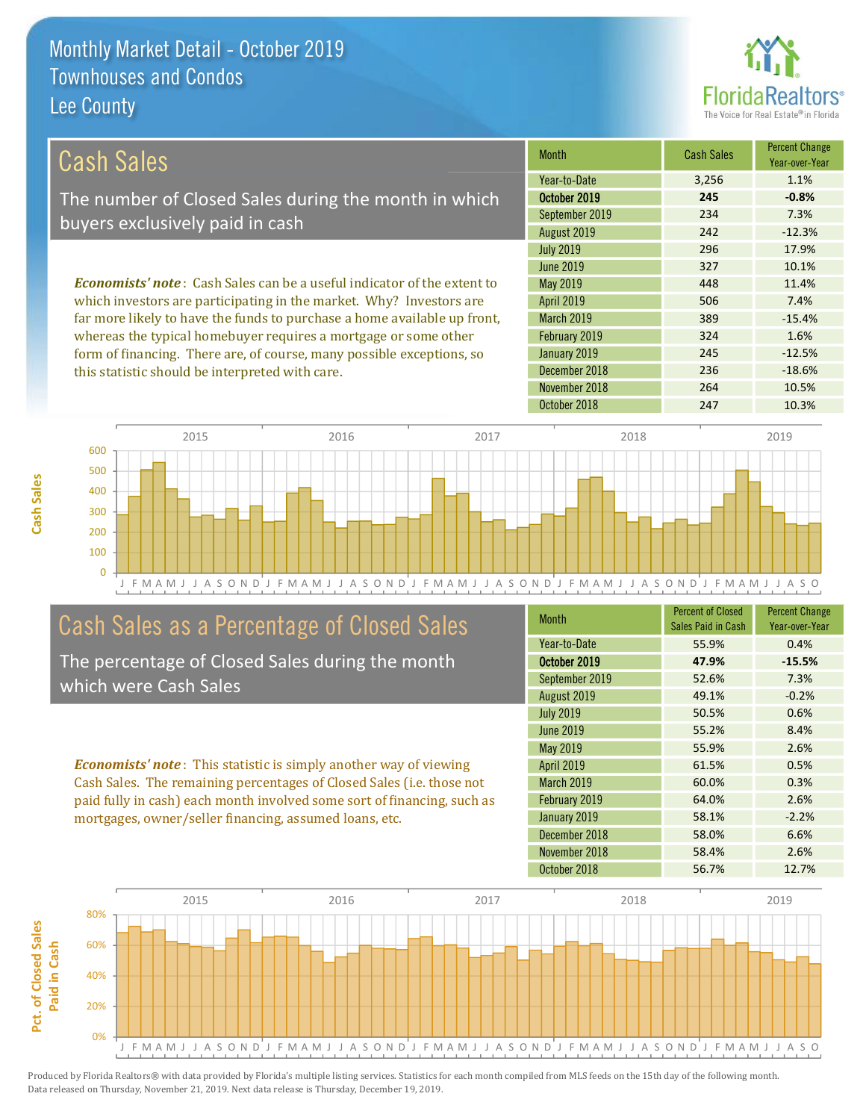this statistic should be interpreted with care.



 $-18.6%$ 

10.5%

| Cash Sales                                                                      | <b>Month</b>      | <b>Cash Sales</b> | <b>Percent Change</b><br>Year-over-Year |
|---------------------------------------------------------------------------------|-------------------|-------------------|-----------------------------------------|
|                                                                                 | Year-to-Date      | 3.256             | 1.1%                                    |
| The number of Closed Sales during the month in which                            | October 2019      | 245               | $-0.8%$                                 |
| buyers exclusively paid in cash                                                 | September 2019    | 234               | 7.3%                                    |
|                                                                                 | August 2019       | 242               | $-12.3%$                                |
|                                                                                 | <b>July 2019</b>  | 296               | 17.9%                                   |
|                                                                                 | June 2019         | 327               | 10.1%                                   |
| <b>Economists' note</b> : Cash Sales can be a useful indicator of the extent to | May 2019          | 448               | 11.4%                                   |
| which investors are participating in the market. Why? Investors are             | <b>April 2019</b> | 506               | 7.4%                                    |
| far more likely to have the funds to purchase a home available up front,        | <b>March 2019</b> | 389               | $-15.4%$                                |
| whereas the typical homebuyer requires a mortgage or some other                 | February 2019     | 324               | 1.6%                                    |
| form of financing. There are of course many possible exceptions so              | January 2019      | 245               | $-12.5%$                                |

December 2018

November 2018



## Cash Sales as a Percentage of Closed Sales

The percentage of Closed Sales during the month which were Cash Sales

**Economists' note:** This statistic is simply another way of viewing Cash Sales. The remaining percentages of Closed Sales (i.e. those not paid fully in cash) each month involved some sort of financing, such as mortgages, owner/seller financing, assumed loans, etc.

| <b>Month</b>      | <b>Percent of Closed</b><br>Sales Paid in Cash | <b>Percent Change</b><br>Year-over-Year |
|-------------------|------------------------------------------------|-----------------------------------------|
| Year-to-Date      | 55.9%                                          | 0.4%                                    |
| October 2019      | 47.9%                                          | $-15.5%$                                |
| September 2019    | 52.6%                                          | 7.3%                                    |
| August 2019       | 49.1%                                          | $-0.2%$                                 |
| <b>July 2019</b>  | 50.5%                                          | 0.6%                                    |
| June 2019         | 55.2%                                          | 8.4%                                    |
| May 2019          | 55.9%                                          | 2.6%                                    |
| April 2019        | 61.5%                                          | 0.5%                                    |
| <b>March 2019</b> | 60.0%                                          | 0.3%                                    |
| February 2019     | 64.0%                                          | 2.6%                                    |
| January 2019      | 58.1%                                          | $-2.2%$                                 |
| December 2018     | 58.0%                                          | 6.6%                                    |
| November 2018     | 58.4%                                          | 2.6%                                    |
| October 2018      | 56.7%                                          | 12.7%                                   |

236

264

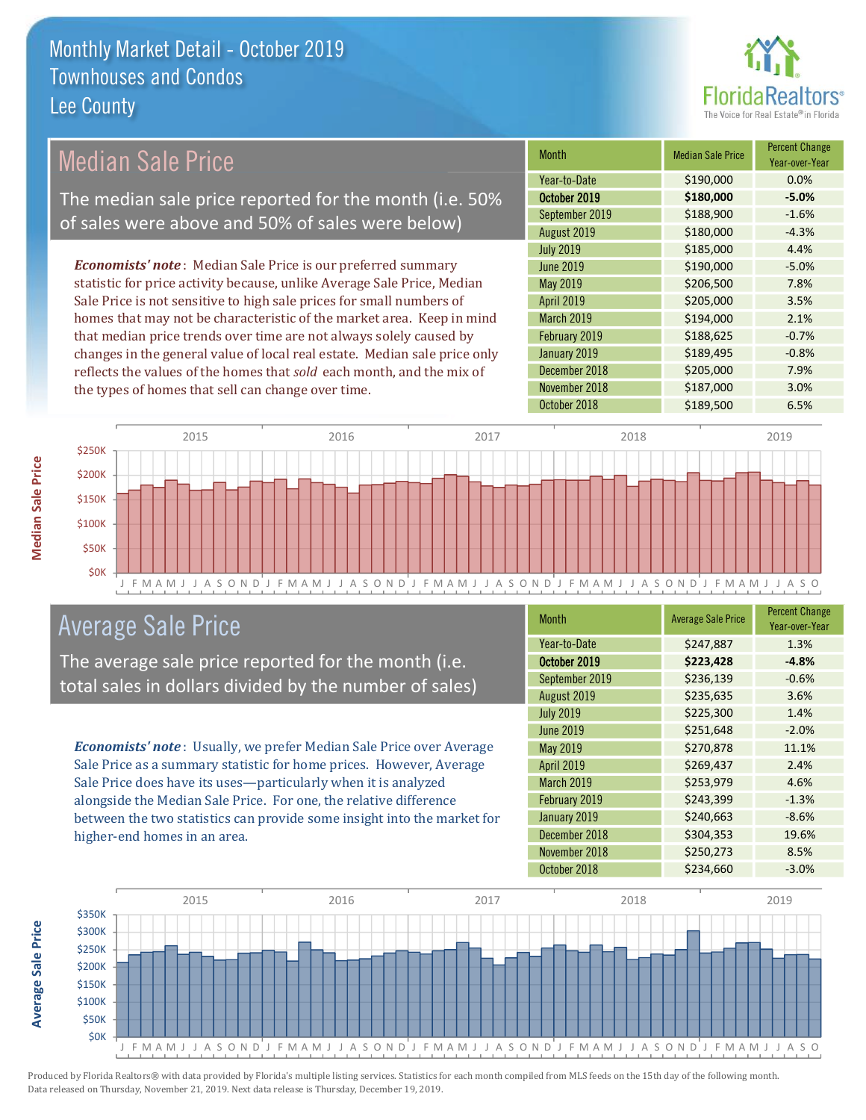

## **Median Sale Price**

The median sale price reported for the month (i.e. 50% of sales were above and 50% of sales were below)

**Economists' note:** Median Sale Price is our preferred summary statistic for price activity because, unlike Average Sale Price, Median Sale Price is not sensitive to high sale prices for small numbers of homes that may not be characteristic of the market area. Keep in mind that median price trends over time are not always solely caused by changes in the general value of local real estate. Median sale price only reflects the values of the homes that sold each month, and the mix of the types of homes that sell can change over time.

| <b>Month</b>      | <b>Median Sale Price</b> | <b>Percent Change</b><br>Year-over-Year |
|-------------------|--------------------------|-----------------------------------------|
| Year-to-Date      | \$190,000                | 0.0%                                    |
| October 2019      | \$180,000                | $-5.0%$                                 |
| September 2019    | \$188,900                | $-1.6%$                                 |
| August 2019       | \$180,000                | $-4.3%$                                 |
| <b>July 2019</b>  | \$185,000                | 4.4%                                    |
| <b>June 2019</b>  | \$190,000                | $-5.0%$                                 |
| May 2019          | \$206,500                | 7.8%                                    |
| April 2019        | \$205,000                | 3.5%                                    |
| <b>March 2019</b> | \$194,000                | 2.1%                                    |
| February 2019     | \$188,625                | $-0.7%$                                 |
| January 2019      | \$189,495                | $-0.8%$                                 |
| December 2018     | \$205,000                | 7.9%                                    |
| November 2018     | \$187,000                | 3.0%                                    |
| October 2018      | \$189,500                | 6.5%                                    |



### **Average Sale Price**

The average sale price reported for the month (i.e. total sales in dollars divided by the number of sales)

Economists' note: Usually, we prefer Median Sale Price over Average Sale Price as a summary statistic for home prices. However, Average Sale Price does have its uses-particularly when it is analyzed alongside the Median Sale Price. For one, the relative difference between the two statistics can provide some insight into the market for higher-end homes in an area.

| <b>Month</b>      | <b>Average Sale Price</b> | <b>Percent Change</b><br>Year-over-Year |
|-------------------|---------------------------|-----------------------------------------|
| Year-to-Date      | \$247,887                 | 1.3%                                    |
| October 2019      | \$223,428                 | $-4.8%$                                 |
| September 2019    | \$236,139                 | $-0.6%$                                 |
| August 2019       | \$235,635                 | 3.6%                                    |
| <b>July 2019</b>  | \$225,300                 | 1.4%                                    |
| <b>June 2019</b>  | \$251,648                 | $-2.0%$                                 |
| May 2019          | \$270,878                 | 11.1%                                   |
| <b>April 2019</b> | \$269,437                 | 2.4%                                    |
| <b>March 2019</b> | \$253,979                 | 4.6%                                    |
| February 2019     | \$243,399                 | $-1.3%$                                 |
| January 2019      | \$240,663                 | $-8.6%$                                 |
| December 2018     | \$304,353                 | 19.6%                                   |
| November 2018     | \$250,273                 | 8.5%                                    |
| October 2018      | \$234,660                 | $-3.0%$                                 |



**Average Sale Price**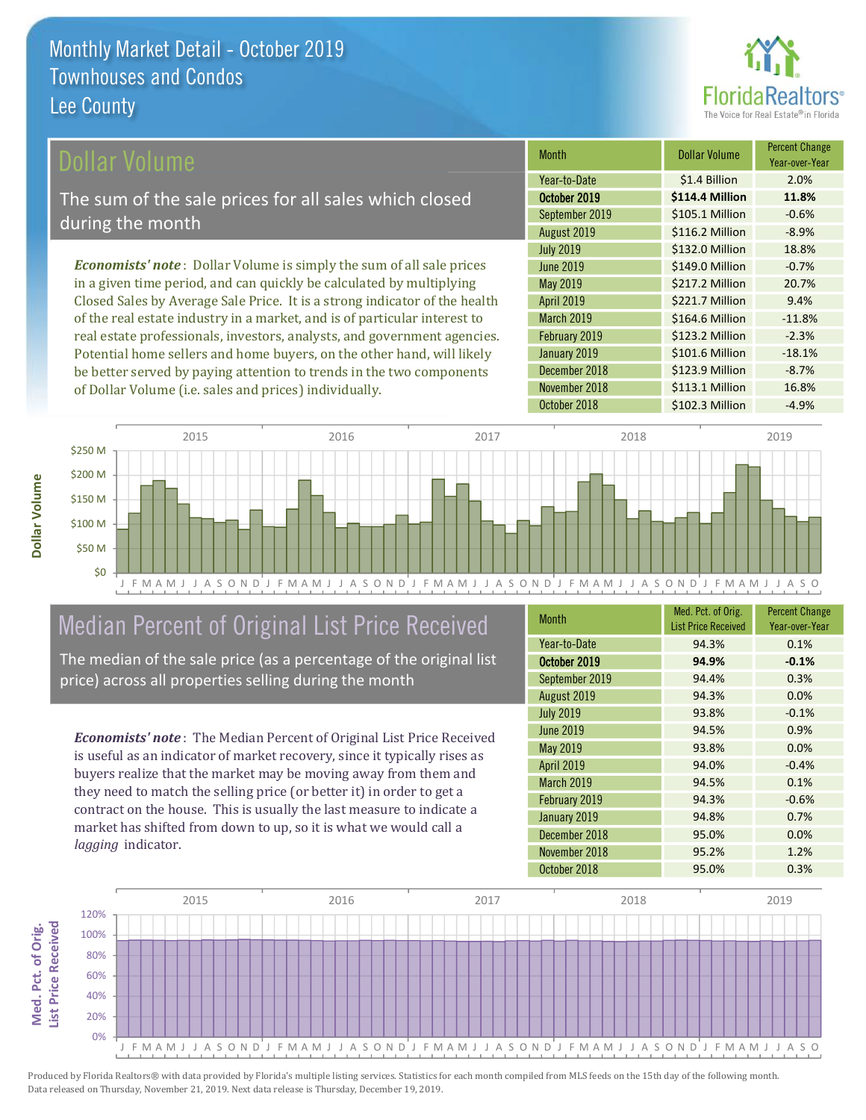

#### ollar Volume

The sum of the sale prices for all sales which closed during the month

**Economists' note**: Dollar Volume is simply the sum of all sale prices in a given time period, and can quickly be calculated by multiplying Closed Sales by Average Sale Price. It is a strong indicator of the health of the real estate industry in a market, and is of particular interest to real estate professionals, investors, analysts, and government agencies. Potential home sellers and home buyers, on the other hand, will likely be better served by paying attention to trends in the two components of Dollar Volume (i.e. sales and prices) individually.

| Month            | Dollar Volume   | <b>Percent Change</b><br>Year-over-Year |
|------------------|-----------------|-----------------------------------------|
| Year-to-Date     | \$1.4 Billion   | 2.0%                                    |
| October 2019     | \$114.4 Million | 11.8%                                   |
| September 2019   | \$105.1 Million | $-0.6%$                                 |
| August 2019      | \$116.2 Million | $-8.9%$                                 |
| <b>July 2019</b> | \$132.0 Million | 18.8%                                   |
| <b>June 2019</b> | \$149.0 Million | $-0.7%$                                 |
| May 2019         | \$217.2 Million | 20.7%                                   |
| April 2019       | \$221.7 Million | 9.4%                                    |
| March 2019       | \$164.6 Million | $-11.8%$                                |
| February 2019    | \$123.2 Million | $-2.3%$                                 |
| January 2019     | \$101.6 Million | $-18.1%$                                |
| December 2018    | \$123.9 Million | $-8.7%$                                 |
| November 2018    | \$113.1 Million | 16.8%                                   |
| October 2018     | \$102.3 Million | $-4.9%$                                 |



## Median Percent of Original List Price Received

The median of the sale price (as a percentage of the original list price) across all properties selling during the month

**Economists' note:** The Median Percent of Original List Price Received is useful as an indicator of market recovery, since it typically rises as buyers realize that the market may be moving away from them and they need to match the selling price (or better it) in order to get a contract on the house. This is usually the last measure to indicate a market has shifted from down to up, so it is what we would call a lagging indicator.

| <b>Month</b>      | Med. Pct. of Orig.<br><b>List Price Received</b> | <b>Percent Change</b><br>Year-over-Year |
|-------------------|--------------------------------------------------|-----------------------------------------|
| Year-to-Date      | 94.3%                                            | 0.1%                                    |
| October 2019      | 94.9%                                            | $-0.1%$                                 |
| September 2019    | 94.4%                                            | 0.3%                                    |
| August 2019       | 94.3%                                            | 0.0%                                    |
| <b>July 2019</b>  | 93.8%                                            | $-0.1%$                                 |
| <b>June 2019</b>  | 94.5%                                            | 0.9%                                    |
| <b>May 2019</b>   | 93.8%                                            | 0.0%                                    |
| April 2019        | 94.0%                                            | $-0.4%$                                 |
| <b>March 2019</b> | 94.5%                                            | 0.1%                                    |
| February 2019     | 94.3%                                            | $-0.6%$                                 |
| January 2019      | 94.8%                                            | 0.7%                                    |
| December 2018     | 95.0%                                            | 0.0%                                    |
| November 2018     | 95.2%                                            | 1.2%                                    |
| October 2018      | 95.0%                                            | 0.3%                                    |

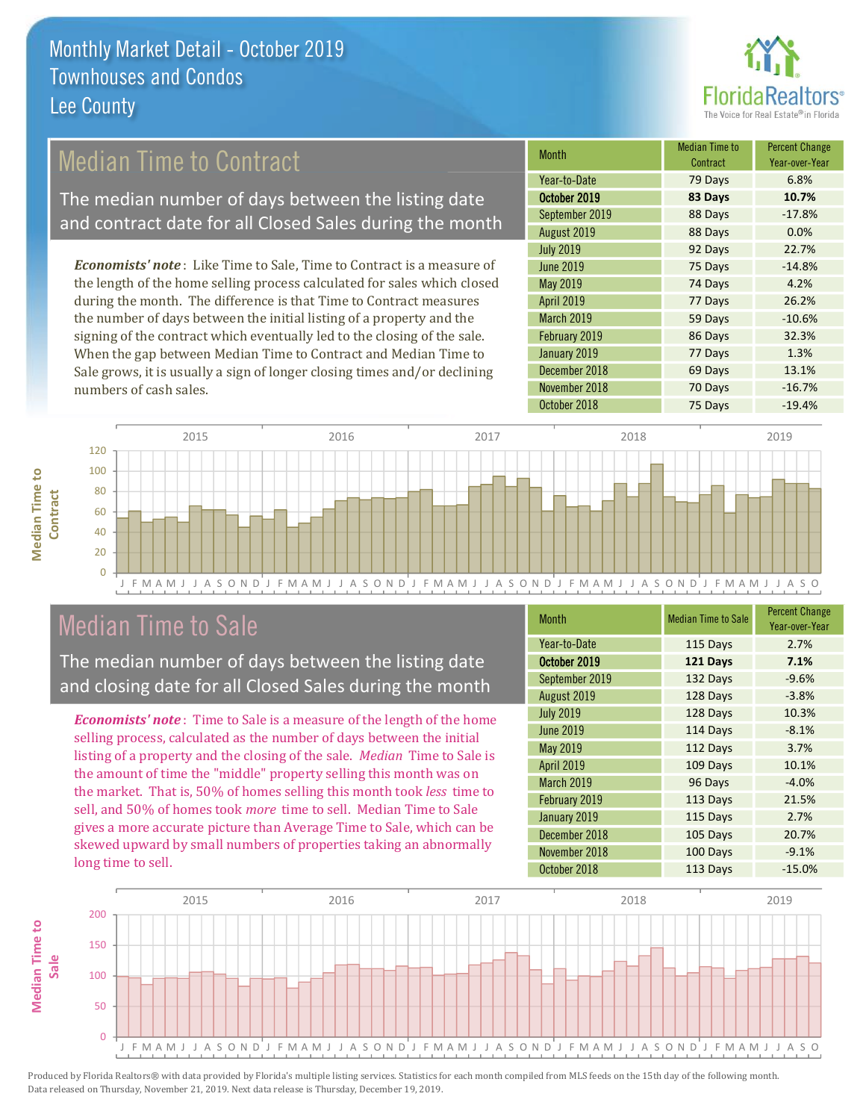

## **Median Time to Contract**

The median number of days between the listing date and contract date for all Closed Sales during the month

**Economists' note:** Like Time to Sale, Time to Contract is a measure of the length of the home selling process calculated for sales which closed during the month. The difference is that Time to Contract measures the number of days between the initial listing of a property and the signing of the contract which eventually led to the closing of the sale. When the gap between Median Time to Contract and Median Time to Sale grows, it is usually a sign of longer closing times and/or declining numbers of cash sales.

| <b>Month</b>      | <b>Median Time to</b><br>Contract | <b>Percent Change</b><br>Year-over-Year |
|-------------------|-----------------------------------|-----------------------------------------|
| Year-to-Date      | 79 Days                           | 6.8%                                    |
| October 2019      | 83 Days                           | 10.7%                                   |
| September 2019    | 88 Days                           | $-17.8%$                                |
| August 2019       | 88 Days                           | 0.0%                                    |
| <b>July 2019</b>  | 92 Days                           | 22.7%                                   |
| <b>June 2019</b>  | 75 Days                           | $-14.8%$                                |
| May 2019          | 74 Days                           | 4.2%                                    |
| April 2019        | 77 Days                           | 26.2%                                   |
| <b>March 2019</b> | 59 Days                           | $-10.6%$                                |
| February 2019     | 86 Days                           | 32.3%                                   |
| January 2019      | 77 Days                           | 1.3%                                    |
| December 2018     | 69 Days                           | 13.1%                                   |
| November 2018     | 70 Days                           | $-16.7%$                                |
| nrtnher 2018      | 75 Davs                           | $-194%$                                 |



### **Median Time to Sale**

**Median Time to** 

The median number of days between the listing date and closing date for all Closed Sales during the month

**Economists' note**: Time to Sale is a measure of the length of the home selling process, calculated as the number of days between the initial listing of a property and the closing of the sale. Median Time to Sale is the amount of time the "middle" property selling this month was on the market. That is, 50% of homes selling this month took less time to sell, and 50% of homes took more time to sell. Median Time to Sale gives a more accurate picture than Average Time to Sale, which can be skewed upward by small numbers of properties taking an abnormally long time to sell.

| <b>Month</b>     | <b>Median Time to Sale</b> | <b>Percent Change</b><br>Year-over-Year |
|------------------|----------------------------|-----------------------------------------|
| Year-to-Date     | 115 Days                   | 2.7%                                    |
| October 2019     | 121 Days                   | 7.1%                                    |
| September 2019   | 132 Days                   | $-9.6%$                                 |
| August 2019      | 128 Days                   | $-3.8%$                                 |
| <b>July 2019</b> | 128 Days                   | 10.3%                                   |
| <b>June 2019</b> | 114 Days                   | $-8.1%$                                 |
| May 2019         | 112 Days                   | 3.7%                                    |
| April 2019       | 109 Days                   | 10.1%                                   |
| March 2019       | 96 Days                    | $-4.0%$                                 |
| February 2019    | 113 Days                   | 21.5%                                   |
| January 2019     | 115 Days                   | 2.7%                                    |
| December 2018    | 105 Days                   | 20.7%                                   |
| November 2018    | 100 Days                   | $-9.1%$                                 |
| October 2018     | 113 Days                   | $-15.0%$                                |

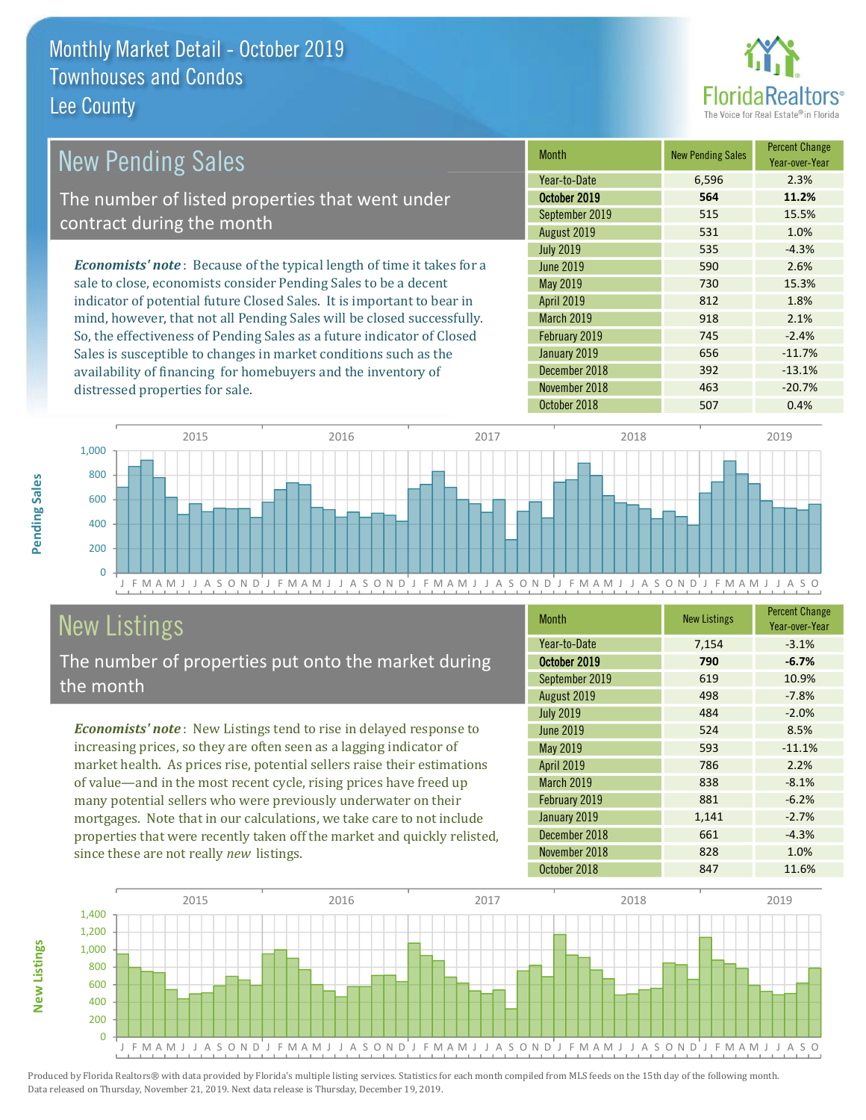

| <b>New Pending Sales</b>                                                       | <b>Month</b>      | <b>New Pending Sales</b> | <b>Percent Change</b><br>Year-over-Year |
|--------------------------------------------------------------------------------|-------------------|--------------------------|-----------------------------------------|
|                                                                                | Year-to-Date      | 6,596                    | 2.3%                                    |
| The number of listed properties that went under                                | October 2019      | 564                      | 11.2%                                   |
| contract during the month                                                      | September 2019    | 515                      | 15.5%                                   |
|                                                                                | August 2019       | 531                      | 1.0%                                    |
|                                                                                | <b>July 2019</b>  | 535                      | $-4.3%$                                 |
| <b>Economists' note</b> : Because of the typical length of time it takes for a | June 2019         | 590                      | 2.6%                                    |
| sale to close, economists consider Pending Sales to be a decent                | May 2019          | 730                      | 15.3%                                   |
| indicator of potential future Closed Sales. It is important to bear in         | <b>April 2019</b> | 812                      | 1.8%                                    |
| mind, however, that not all Pending Sales will be closed successfully.         | <b>March 2019</b> | 918                      | 2.1%                                    |
| So, the effectiveness of Pending Sales as a future indicator of Closed         | February 2019     | 745                      | $-2.4%$                                 |
| Sales is susceptible to changes in market conditions such as the               | January 2019      | 656                      | $-11.7%$                                |
| availability of financing for homebuyers and the inventory of                  | December 2018     | 392                      | $-13.1%$                                |



November 2018

October 2018

# **New Listings**

Pending Sales

**New Listings** 

distressed properties for sale.

The number of properties put onto the market during the month

Economists' note: New Listings tend to rise in delayed response to increasing prices, so they are often seen as a lagging indicator of market health. As prices rise, potential sellers raise their estimations of value—and in the most recent cycle, rising prices have freed up many potential sellers who were previously underwater on their mortgages. Note that in our calculations, we take care to not include properties that were recently taken off the market and quickly relisted, since these are not really new listings.

| <b>Month</b>     | <b>New Listings</b> | <b>Percent Change</b><br>Year-over-Year |
|------------------|---------------------|-----------------------------------------|
| Year-to-Date     | 7,154               | $-3.1%$                                 |
| October 2019     | 790                 | $-6.7%$                                 |
| September 2019   | 619                 | 10.9%                                   |
| August 2019      | 498                 | $-7.8%$                                 |
| <b>July 2019</b> | 484                 | $-2.0%$                                 |
| June 2019        | 524                 | 8.5%                                    |
| May 2019         | 593                 | $-11.1%$                                |
| April 2019       | 786                 | 2.2%                                    |
| March 2019       | 838                 | $-8.1%$                                 |
| February 2019    | 881                 | $-6.2%$                                 |
| January 2019     | 1,141               | $-2.7%$                                 |
| December 2018    | 661                 | $-4.3%$                                 |
| November 2018    | 828                 | 1.0%                                    |
| October 2018     | 847                 | 11.6%                                   |

463

507

 $-20.7%$ 

0.4%

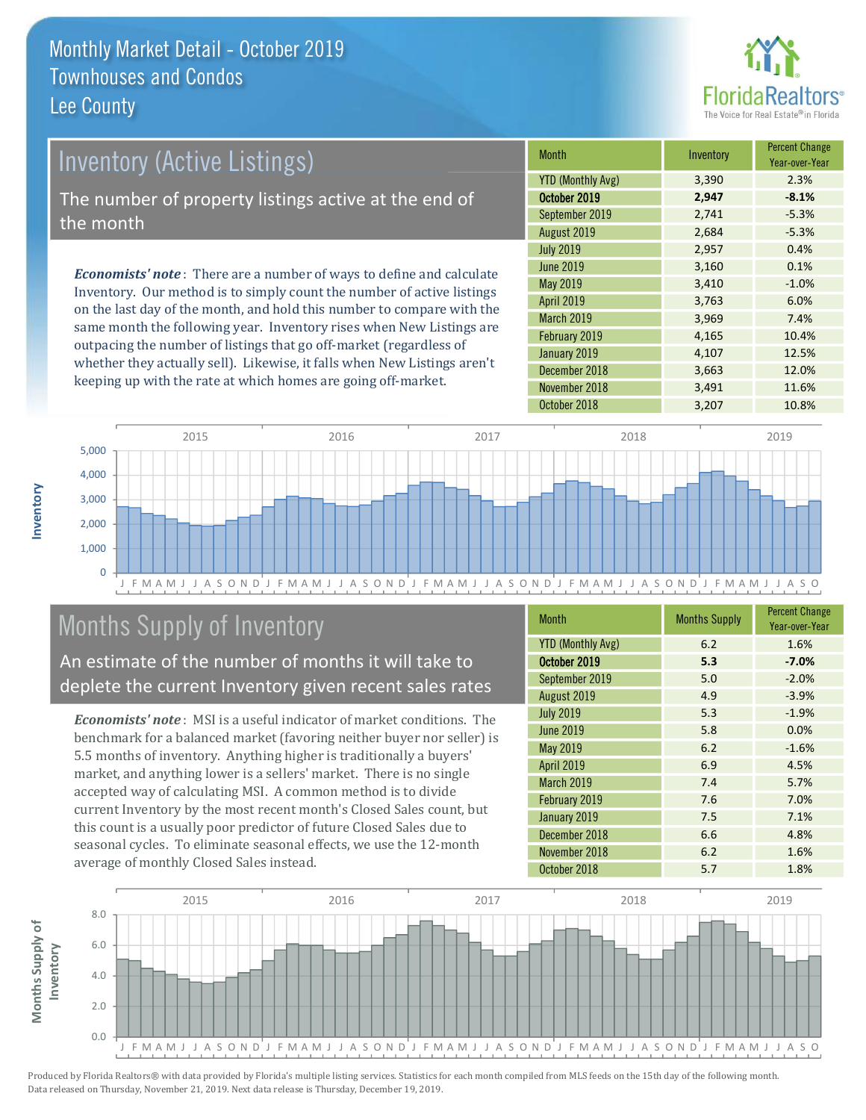

# **Inventory (Active Listings)** The number of property listings active at the end of the month **Economists' note:** There are a number of ways to define and calculate

Inventory. Our method is to simply count the number of active listings on the last day of the month, and hold this number to compare with the same month the following year. Inventory rises when New Listings are outpacing the number of listings that go off-market (regardless of whether they actually sell). Likewise, it falls when New Listings aren't keeping up with the rate at which homes are going off-market.

| <b>Month</b>             | Inventory | <b>Percent Change</b><br>Year-over-Year |
|--------------------------|-----------|-----------------------------------------|
| <b>YTD (Monthly Avg)</b> | 3,390     | 2.3%                                    |
| October 2019             | 2,947     | $-8.1%$                                 |
| September 2019           | 2,741     | $-5.3%$                                 |
| August 2019              | 2,684     | $-5.3%$                                 |
| <b>July 2019</b>         | 2,957     | 0.4%                                    |
| <b>June 2019</b>         | 3,160     | 0.1%                                    |
| May 2019                 | 3,410     | $-1.0%$                                 |
| <b>April 2019</b>        | 3,763     | 6.0%                                    |
| <b>March 2019</b>        | 3,969     | 7.4%                                    |
| February 2019            | 4,165     | 10.4%                                   |
| January 2019             | 4,107     | 12.5%                                   |
| December 2018            | 3,663     | 12.0%                                   |
| November 2018            | 3,491     | 11.6%                                   |
| October 2018             | 3,207     | 10.8%                                   |



## Months Supply of Inventory

An estimate of the number of months it will take to deplete the current Inventory given recent sales rates

**Economists' note**: MSI is a useful indicator of market conditions. The benchmark for a balanced market (favoring neither buyer nor seller) is 5.5 months of inventory. Anything higher is traditionally a buyers' market, and anything lower is a sellers' market. There is no single accepted way of calculating MSI. A common method is to divide current Inventory by the most recent month's Closed Sales count, but this count is a usually poor predictor of future Closed Sales due to seasonal cycles. To eliminate seasonal effects, we use the 12-month average of monthly Closed Sales instead.

| <b>Month</b>             | <b>Months Supply</b> | <b>Percent Change</b><br>Year-over-Year |
|--------------------------|----------------------|-----------------------------------------|
| <b>YTD (Monthly Avg)</b> | 6.2                  | 1.6%                                    |
| October 2019             | 5.3                  | $-7.0%$                                 |
| September 2019           | 5.0                  | $-2.0%$                                 |
| August 2019              | 4.9                  | $-3.9%$                                 |
| <b>July 2019</b>         | 5.3                  | $-1.9%$                                 |
| <b>June 2019</b>         | 5.8                  | 0.0%                                    |
| <b>May 2019</b>          | 6.2                  | $-1.6%$                                 |
| <b>April 2019</b>        | 6.9                  | 4.5%                                    |
| <b>March 2019</b>        | 7.4                  | 5.7%                                    |
| February 2019            | 7.6                  | 7.0%                                    |
| January 2019             | 7.5                  | 7.1%                                    |
| December 2018            | 6.6                  | 4.8%                                    |
| November 2018            | 6.2                  | 1.6%                                    |
| October 2018             | 5.7                  | 1.8%                                    |

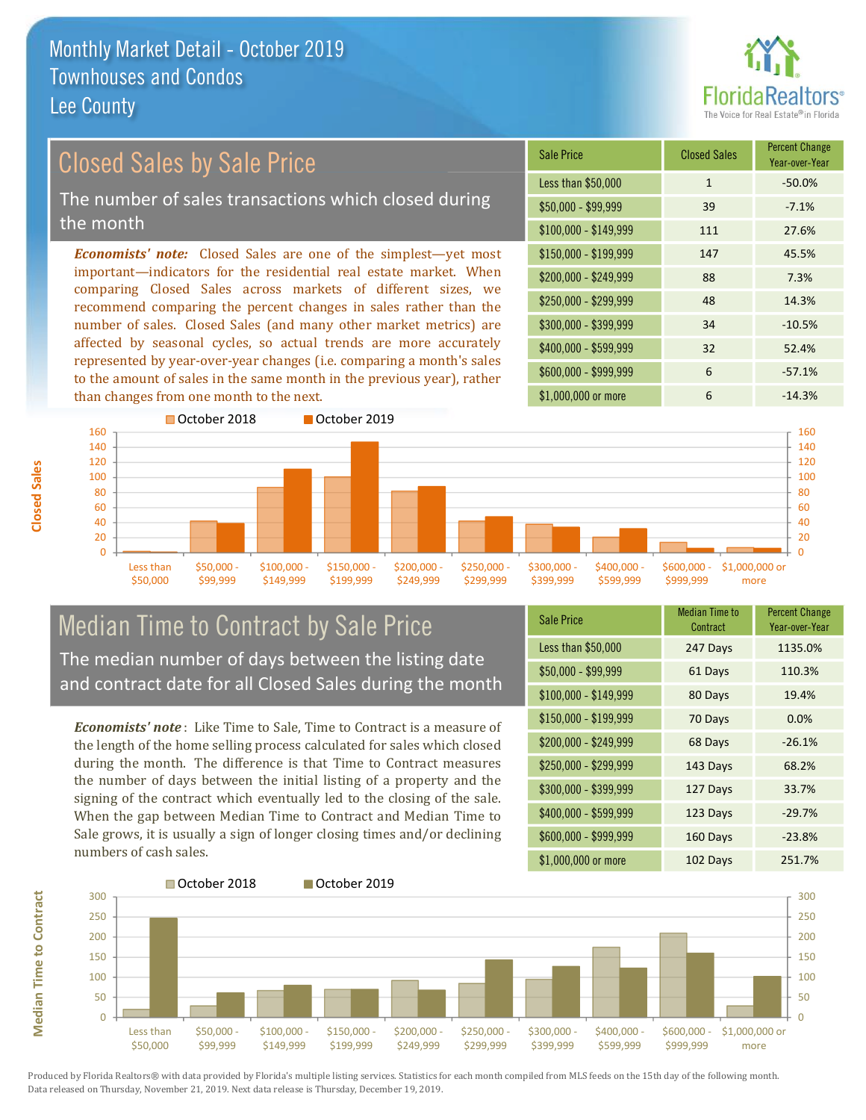

## **Closed Sales by Sale Price**

The number of sales transactions which closed during the month

**Economists' note:** Closed Sales are one of the simplest—yet most important-indicators for the residential real estate market. When comparing Closed Sales across markets of different sizes, we recommend comparing the percent changes in sales rather than the number of sales. Closed Sales (and many other market metrics) are affected by seasonal cycles, so actual trends are more accurately represented by year-over-year changes (i.e. comparing a month's sales to the amount of sales in the same month in the previous year), rather than changes from one month to the next.





#### **Median Time to Contract by Sale Price** The median number of days between the listing date and contract date for all Closed Sales during the month

**Economists' note**: Like Time to Sale. Time to Contract is a measure of the length of the home selling process calculated for sales which closed during the month. The difference is that Time to Contract measures the number of days between the initial listing of a property and the signing of the contract which eventually led to the closing of the sale. When the gap between Median Time to Contract and Median Time to Sale grows, it is usually a sign of longer closing times and/or declining numbers of cash sales.

| <b>Sale Price</b>     | Median Time to<br>Contract | Percent Change<br>Year-over-Year |
|-----------------------|----------------------------|----------------------------------|
| Less than \$50,000    | 247 Days                   | 1135.0%                          |
| $$50,000 - $99,999$   | 61 Days                    | 110.3%                           |
| $$100,000 - $149,999$ | 80 Days                    | 19.4%                            |
| $$150,000 - $199,999$ | 70 Days                    | 0.0%                             |
| \$200,000 - \$249,999 | 68 Days                    | $-26.1%$                         |
| \$250,000 - \$299,999 | 143 Days                   | 68.2%                            |
| \$300,000 - \$399,999 | 127 Days                   | 33.7%                            |
| $$400,000 - $599,999$ | 123 Days                   | $-29.7%$                         |
| \$600,000 - \$999,999 | 160 Days                   | $-23.8%$                         |
| $$1.000.000$ or more  | 102 Davs                   | 2517%                            |



Produced by Florida Realtors® with data provided by Florida's multiple listing services. Statistics for each month compiled from MLS feeds on the 15th day of the following month. Data released on Thursday, November 21, 2019. Next data release is Thursday, December 19, 2019.

**Median Time to Contract**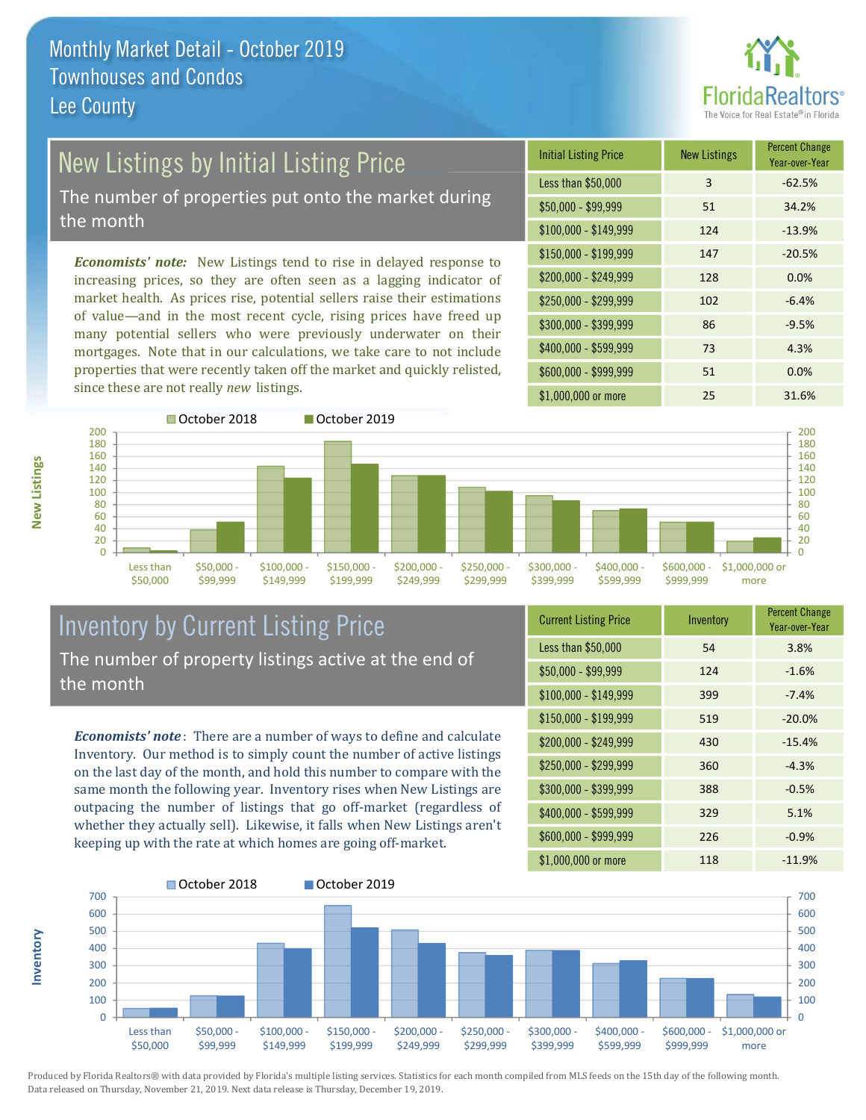

# New Listings by Initial Listing Price

The number of properties put onto the market during the month

Economists' note: New Listings tend to rise in delayed response to increasing prices, so they are often seen as a lagging indicator of market health. As prices rise, potential sellers raise their estimations of value—and in the most recent cycle, rising prices have freed up many potential sellers who were previously underwater on their mortgages. Note that in our calculations, we take care to not include properties that were recently taken off the market and quickly relisted, since these are not really new listings.

| <b>Initial Listing Price</b> | <b>New Listings</b> | <b>Percent Change</b><br>Year-over-Year |
|------------------------------|---------------------|-----------------------------------------|
| Less than \$50,000           | 3                   | $-62.5%$                                |
| $$50,000 - $99,999$          | 51                  | 34.2%                                   |
| $$100,000 - $149,999$        | 124                 | $-13.9%$                                |
| $$150,000 - $199,999$        | 147                 | $-20.5%$                                |
| \$200,000 - \$249,999        | 128                 | 0.0%                                    |
| \$250,000 - \$299,999        | 102                 | $-6.4%$                                 |
| \$300,000 - \$399,999        | 86                  | $-9.5%$                                 |
| \$400,000 - \$599,999        | 73                  | 4.3%                                    |
| \$600,000 - \$999,999        | 51                  | 0.0%                                    |
| \$1,000,000 or more          | 25                  | 31.6%                                   |



#### **Inventory by Current Listing Price** The number of property listings active at the end of the month

**Economists' note**: There are a number of ways to define and calculate Inventory. Our method is to simply count the number of active listings on the last day of the month, and hold this number to compare with the same month the following year. Inventory rises when New Listings are outpacing the number of listings that go off-market (regardless of whether they actually sell). Likewise, it falls when New Listings aren't keeping up with the rate at which homes are going off-market.

| <b>Current Listing Price</b> | Inventory | <b>FULLE UPPER</b><br>Year-over-Year |
|------------------------------|-----------|--------------------------------------|
| Less than \$50,000           | 54        | 3.8%                                 |
| $$50,000 - $99,999$          | 124       | $-1.6%$                              |
| $$100,000 - $149,999$        | 399       | $-7.4%$                              |
| \$150,000 - \$199,999        | 519       | $-20.0%$                             |
| \$200,000 - \$249,999        | 430       | $-15.4%$                             |
| \$250,000 - \$299,999        | 360       | $-4.3%$                              |
| \$300,000 - \$399,999        | 388       | $-0.5%$                              |
| \$400,000 - \$599,999        | 329       | 5.1%                                 |
| \$600,000 - \$999,999        | 226       | $-0.9%$                              |
| \$1,000,000 or more          | 118       | $-119%$                              |